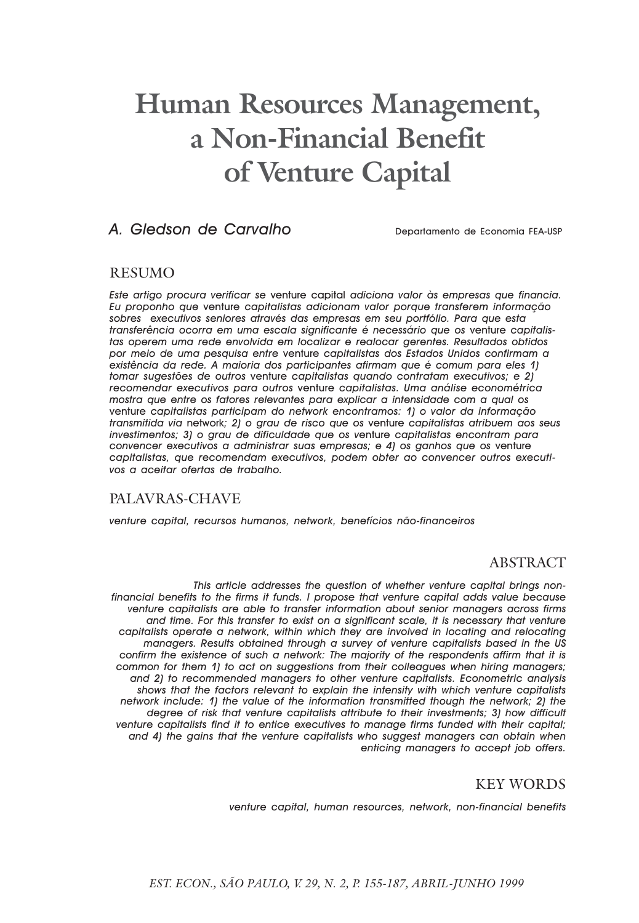# Human Resources Management, a Non-Financial Benefit of Venture Capital

## A. Gledson de Carvalho

Departamento de Economia FEA-USP

## **RESUMO**

Este artigo procura verificar se venture capital adiciona valor às empresas que financia. Eu proponho que venture capitalistas adicionam valor porque transferem informação sobres executivos seniores através das empresas em seu portfólio. Para que esta transferência ocorra em uma escala significante é necessário que os venture capitalistas operem uma rede envolvida em localizar e realocar gerentes. Resultados obtidos por meio de uma pesquisa entre venture capitalistas dos Estados Unidos confirmam a existência da rede. A maioria dos participantes afirmam que é comum para eles 1) tomar sugestões de outros venture capitalistas quando contratam executivos; e 2) recomendar executivos para outros venture capitalistas. Uma análise econométrica mostra que entre os fatores relevantes para explicar a intensidade com a qual os venture capitalistas participam do network encontramos: 1) o valor da informação transmitida via network; 2) o grau de risco que os venture capitalistas atribuem aos seus investimentos; 3) o grau de dificuldade que os venture capitalistas encontram para convencer executivos a administrar suas empresas; e 4) os agnhos que os venture capitalistas, que recomendam executivos, podem obter ao convencer outros executivos a aceitar ofertas de trabalho.

## PALAVRAS-CHAVE

venture capital, recursos humanos, network, benefícios não-financeiros

## ABSTRACT

This article addresses the question of whether venture capital brings nonfinancial benefits to the firms it funds. I propose that venture capital adds value because venture capitalists are able to transfer information about senior managers across firms and time. For this transfer to exist on a significant scale, it is necessary that venture capitalists operate a network, within which they are involved in locating and relocating managers. Results obtained through a survey of venture capitalists based in the US confirm the existence of such a network: The majority of the respondents affirm that it is common for them 1) to act on suggestions from their colleagues when hiring managers; and 2) to recommended managers to other venture capitalists. Econometric analysis shows that the factors relevant to explain the intensity with which venture capitalists network include: 1) the value of the information transmitted though the network; 2) the degree of risk that venture capitalists attribute to their investments; 3) how difficult venture capitalists find it to entice executives to manage firms funded with their capital; and 4) the gains that the venture capitalists who suggest managers can obtain when enticing managers to accept job offers.

# **KEY WORDS**

venture capital, human resources, network, non-financial benefits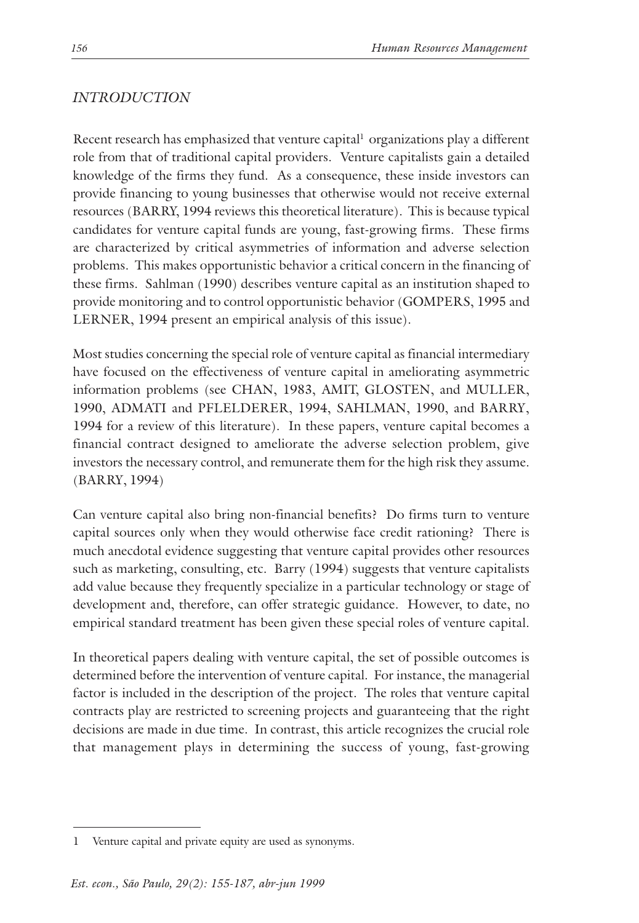## *INTRODUCTION*

Recent research has emphasized that venture capital<sup>1</sup> organizations play a different role from that of traditional capital providers. Venture capitalists gain a detailed knowledge of the firms they fund. As a consequence, these inside investors can provide financing to young businesses that otherwise would not receive external resources (BARRY, 1994 reviews this theoretical literature). This is because typical candidates for venture capital funds are young, fast-growing firms. These firms are characterized by critical asymmetries of information and adverse selection problems. This makes opportunistic behavior a critical concern in the financing of these firms. Sahlman (1990) describes venture capital as an institution shaped to provide monitoring and to control opportunistic behavior (GOMPERS, 1995 and LERNER, 1994 present an empirical analysis of this issue).

Most studies concerning the special role of venture capital as financial intermediary have focused on the effectiveness of venture capital in ameliorating asymmetric information problems (see CHAN, 1983, AMIT, GLOSTEN, and MULLER, 1990, ADMATI and PFLELDERER, 1994, SAHLMAN, 1990, and BARRY, 1994 for a review of this literature). In these papers, venture capital becomes a financial contract designed to ameliorate the adverse selection problem, give investors the necessary control, and remunerate them for the high risk they assume. (BARRY, 1994)

Can venture capital also bring non-financial benefits? Do firms turn to venture capital sources only when they would otherwise face credit rationing? There is much anecdotal evidence suggesting that venture capital provides other resources such as marketing, consulting, etc. Barry (1994) suggests that venture capitalists add value because they frequently specialize in a particular technology or stage of development and, therefore, can offer strategic guidance. However, to date, no empirical standard treatment has been given these special roles of venture capital.

In theoretical papers dealing with venture capital, the set of possible outcomes is determined before the intervention of venture capital. For instance, the managerial factor is included in the description of the project. The roles that venture capital contracts play are restricted to screening projects and guaranteeing that the right decisions are made in due time. In contrast, this article recognizes the crucial role that management plays in determining the success of young, fast-growing

Venture capital and private equity are used as synonyms.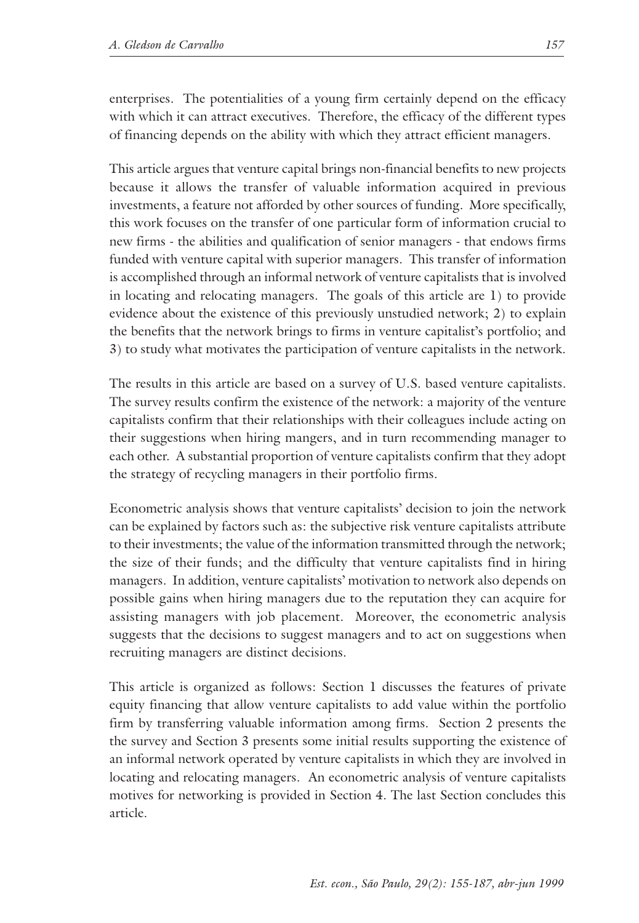enterprises. The potentialities of a young firm certainly depend on the efficacy with which it can attract executives. Therefore, the efficacy of the different types of financing depends on the ability with which they attract efficient managers.

This article argues that venture capital brings non-financial benefits to new projects because it allows the transfer of valuable information acquired in previous investments, a feature not afforded by other sources of funding. More specifically, this work focuses on the transfer of one particular form of information crucial to new firms - the abilities and qualification of senior managers - that endows firms funded with venture capital with superior managers. This transfer of information is accomplished through an informal network of venture capitalists that is involved in locating and relocating managers. The goals of this article are 1) to provide evidence about the existence of this previously unstudied network; 2) to explain the benefits that the network brings to firms in venture capitalist's portfolio; and 3) to study what motivates the participation of venture capitalists in the network.

The results in this article are based on a survey of U.S. based venture capitalists. The survey results confirm the existence of the network: a majority of the venture capitalists confirm that their relationships with their colleagues include acting on their suggestions when hiring mangers, and in turn recommending manager to each other. A substantial proportion of venture capitalists confirm that they adopt the strategy of recycling managers in their portfolio firms.

Econometric analysis shows that venture capitalists' decision to join the network can be explained by factors such as: the subjective risk venture capitalists attribute to their investments; the value of the information transmitted through the network; the size of their funds; and the difficulty that venture capitalists find in hiring managers. In addition, venture capitalists' motivation to network also depends on possible gains when hiring managers due to the reputation they can acquire for assisting managers with job placement. Moreover, the econometric analysis suggests that the decisions to suggest managers and to act on suggestions when recruiting managers are distinct decisions.

This article is organized as follows: Section 1 discusses the features of private equity financing that allow venture capitalists to add value within the portfolio firm by transferring valuable information among firms. Section 2 presents the the survey and Section 3 presents some initial results supporting the existence of an informal network operated by venture capitalists in which they are involved in locating and relocating managers. An econometric analysis of venture capitalists motives for networking is provided in Section 4. The last Section concludes this article.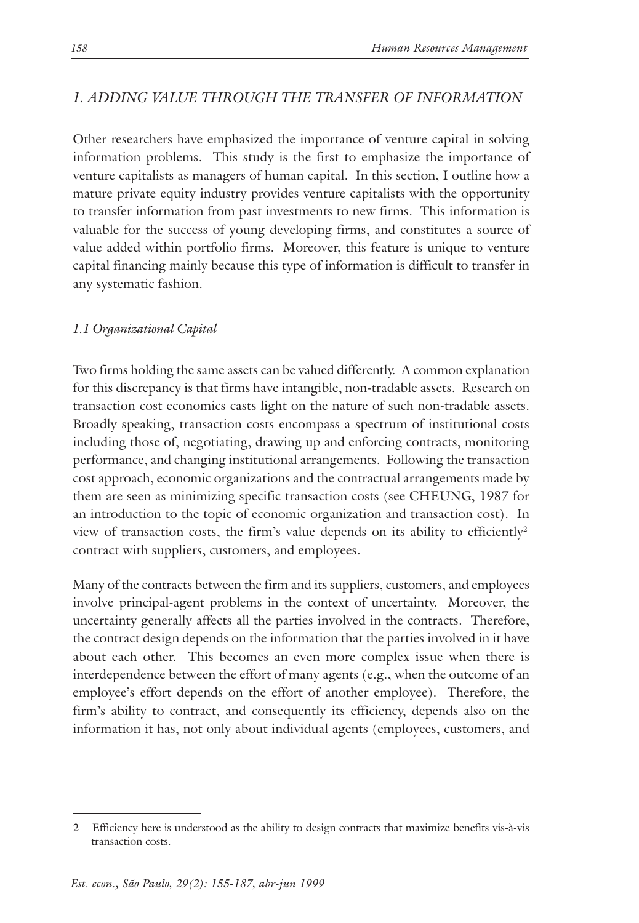# **1. ADDING VALUE THROUGH THE TRANSFER OF INFORMATION**

Other researchers have emphasized the importance of venture capital in solving information problems. This study is the first to emphasize the importance of venture capitalists as managers of human capital. In this section, I outline how a mature private equity industry provides venture capitalists with the opportunity to transfer information from past investments to new firms. This information is valuable for the success of young developing firms, and constitutes a source of value added within portfolio firms. Moreover, this feature is unique to venture capital financing mainly because this type of information is difficult to transfer in any systematic fashion.

## 1.1 Organizational Capital

Two firms holding the same assets can be valued differently. A common explanation for this discrepancy is that firms have intangible, non-tradable assets. Research on transaction cost economics casts light on the nature of such non-tradable assets. Broadly speaking, transaction costs encompass a spectrum of institutional costs including those of, negotiating, drawing up and enforcing contracts, monitoring performance, and changing institutional arrangements. Following the transaction cost approach, economic organizations and the contractual arrangements made by them are seen as minimizing specific transaction costs (see CHEUNG, 1987 for an introduction to the topic of economic organization and transaction cost). In view of transaction costs, the firm's value depends on its ability to efficiently<sup>2</sup> contract with suppliers, customers, and employees.

Many of the contracts between the firm and its suppliers, customers, and employees involve principal-agent problems in the context of uncertainty. Moreover, the uncertainty generally affects all the parties involved in the contracts. Therefore, the contract design depends on the information that the parties involved in it have about each other. This becomes an even more complex issue when there is interdependence between the effort of many agents (e.g., when the outcome of an employee's effort depends on the effort of another employee). Therefore, the firm's ability to contract, and consequently its efficiency, depends also on the information it has, not only about individual agents (employees, customers, and

Efficiency here is understood as the ability to design contracts that maximize benefits vis-à-vis  $\mathcal{D}_{\alpha}$ transaction costs.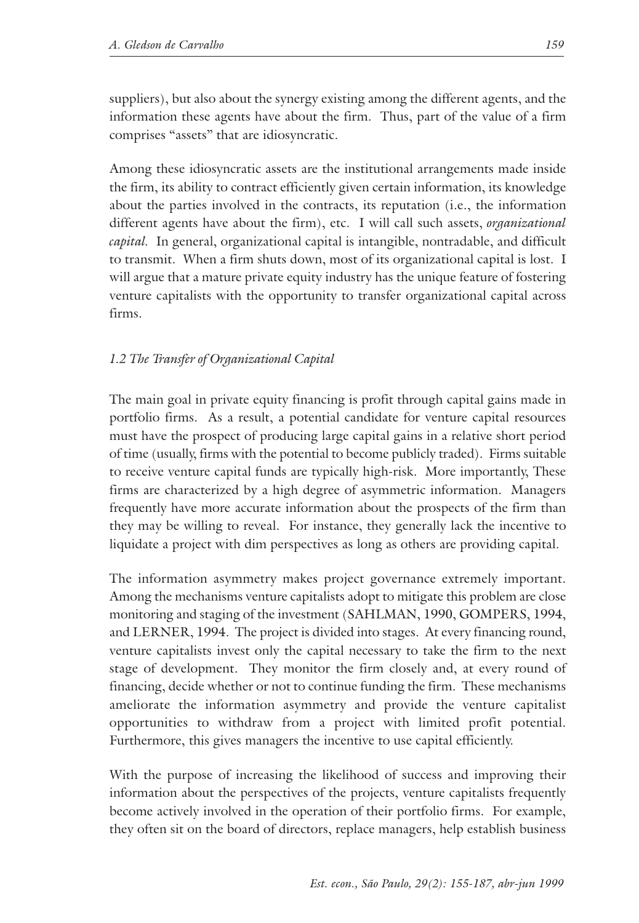suppliers), but also about the synergy existing among the different agents, and the information these agents have about the firm. Thus, part of the value of a firm comprises "assets" that are idiosyncratic.

Among these idiosyncratic assets are the institutional arrangements made inside the firm, its ability to contract efficiently given certain information, its knowledge about the parties involved in the contracts, its reputation (i.e., the information different agents have about the firm), etc. I will call such assets, *organizational capital*. In general, organizational capital is intangible, nontradable, and difficult to transmit. When a firm shuts down, most of its organizational capital is lost. I will argue that a mature private equity industry has the unique feature of fostering venture capitalists with the opportunity to transfer organizational capital across firms.

## 1.2 The Transfer of Organizational Capital

The main goal in private equity financing is profit through capital gains made in portfolio firms. As a result, a potential candidate for venture capital resources must have the prospect of producing large capital gains in a relative short period of time (usually, firms with the potential to become publicly traded). Firms suitable to receive venture capital funds are typically high-risk. More importantly, These firms are characterized by a high degree of asymmetric information. Managers frequently have more accurate information about the prospects of the firm than they may be willing to reveal. For instance, they generally lack the incentive to liquidate a project with dim perspectives as long as others are providing capital.

The information asymmetry makes project governance extremely important. Among the mechanisms venture capitalists adopt to mitigate this problem are close monitoring and staging of the investment (SAHLMAN, 1990, GOMPERS, 1994, and LERNER, 1994. The project is divided into stages. At every financing round, venture capitalists invest only the capital necessary to take the firm to the next stage of development. They monitor the firm closely and, at every round of financing, decide whether or not to continue funding the firm. These mechanisms ameliorate the information asymmetry and provide the venture capitalist opportunities to withdraw from a project with limited profit potential. Furthermore, this gives managers the incentive to use capital efficiently.

With the purpose of increasing the likelihood of success and improving their information about the perspectives of the projects, venture capitalists frequently become actively involved in the operation of their portfolio firms. For example, they often sit on the board of directors, replace managers, help establish business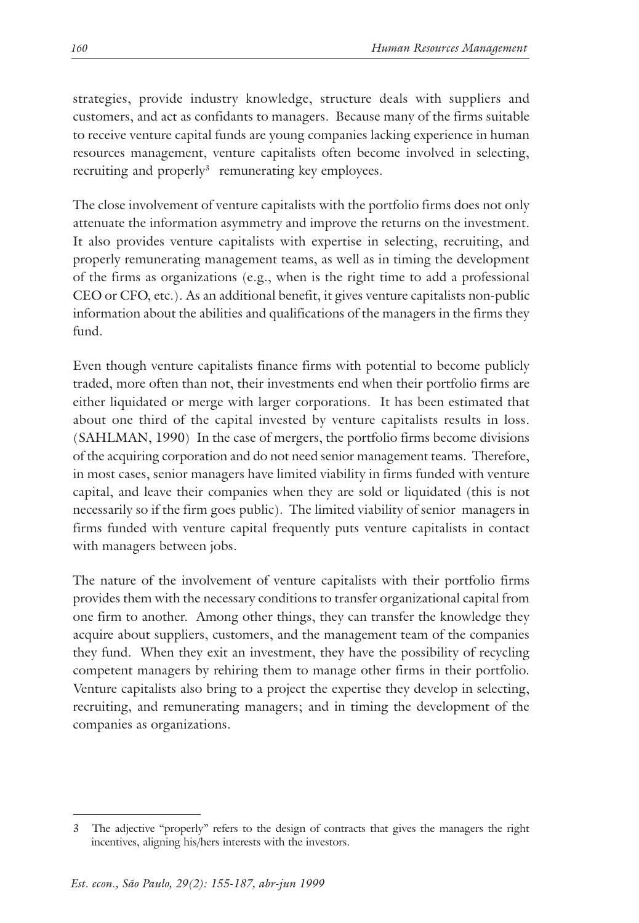strategies, provide industry knowledge, structure deals with suppliers and customers, and act as confidants to managers. Because many of the firms suitable to receive venture capital funds are young companies lacking experience in human resources management, venture capitalists often become involved in selecting, recruiting and properly<sup>3</sup> remunerating key employees.

The close involvement of venture capitalists with the portfolio firms does not only attenuate the information asymmetry and improve the returns on the investment. It also provides venture capitalists with expertise in selecting, recruiting, and properly remunerating management teams, as well as in timing the development of the firms as organizations (e.g., when is the right time to add a professional CEO or CFO, etc.). As an additional benefit, it gives venture capitalists non-public information about the abilities and qualifications of the managers in the firms they fund.

Even though venture capitalists finance firms with potential to become publicly traded, more often than not, their investments end when their portfolio firms are either liquidated or merge with larger corporations. It has been estimated that about one third of the capital invested by venture capitalists results in loss. (SAHLMAN, 1990) In the case of mergers, the portfolio firms become divisions of the acquiring corporation and do not need senior management teams. Therefore, in most cases, senior managers have limited viability in firms funded with venture capital, and leave their companies when they are sold or liquidated (this is not necessarily so if the firm goes public). The limited viability of senior managers in firms funded with venture capital frequently puts venture capitalists in contact with managers between jobs.

The nature of the involvement of venture capitalists with their portfolio firms provides them with the necessary conditions to transfer organizational capital from one firm to another. Among other things, they can transfer the knowledge they acquire about suppliers, customers, and the management team of the companies they fund. When they exit an investment, they have the possibility of recycling competent managers by rehiring them to manage other firms in their portfolio. Venture capitalists also bring to a project the expertise they develop in selecting, recruiting, and remunerating managers; and in timing the development of the companies as organizations.

 $\mathcal{Z}$ The adjective "properly" refers to the design of contracts that gives the managers the right incentives, aligning his/hers interests with the investors.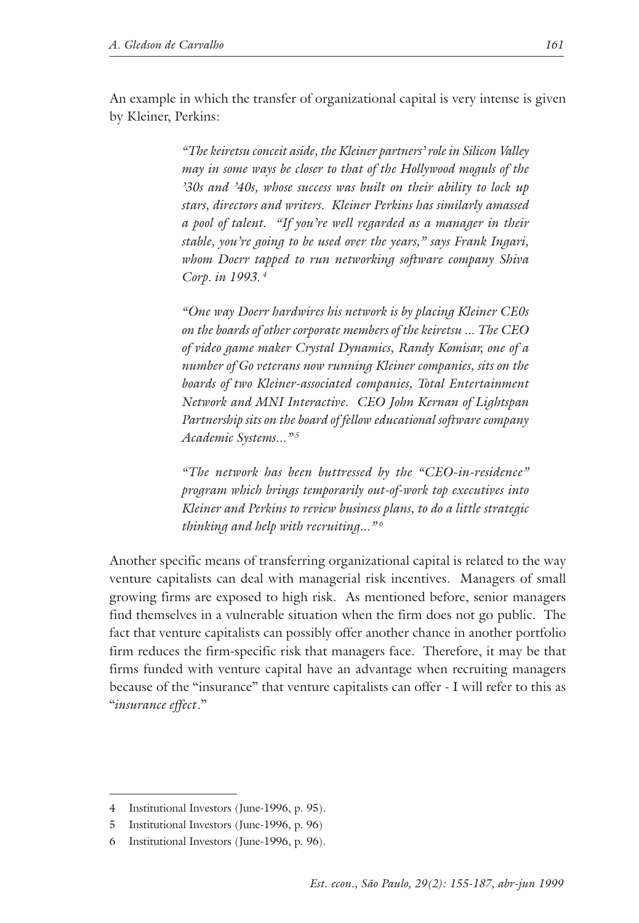An example in which the transfer of organizational capital is very intense is given by Kleiner, Perkins:

> "The keiretsu conceit aside, the Kleiner partners' role in Silicon Valley may in some ways be closer to that of the Hollywood moguls of the '30s and '40s, whose success was built on their ability to lock up stars, directors and writers. Kleiner Perkins has similarly amassed a pool of talent. "If you're well regarded as a manager in their stable, you're going to be used over the years," says Frank Ingari, whom Doerr tapped to run networking software company Shiva Corp. in 1993.<sup>4</sup>

> "One way Doerr hardwires his network is by placing Kleiner CEOs on the boards of other corporate members of the keiretsu ... The CEO of video game maker Crystal Dynamics, Randy Komisar, one of a number of Go veterans now running Kleiner companies, sits on the boards of two Kleiner-associated companies, Total Entertainment Network and MNI Interactive. CEO John Kernan of Lightspan Partnership sits on the board of fellow educational software company Academic Systems..."<sup>5</sup>

> "The network has been buttressed by the "CEO-in-residence" program which brings temporarily out-of-work top executives into Kleiner and Perkins to review business plans, to do a little strategic thinking and help with recruiting... $^{96}$

Another specific means of transferring organizational capital is related to the way venture capitalists can deal with managerial risk incentives. Managers of small growing firms are exposed to high risk. As mentioned before, senior managers find themselves in a vulnerable situation when the firm does not go public. The fact that venture capitalists can possibly offer another chance in another portfolio firm reduces the firm-specific risk that managers face. Therefore, it may be that firms funded with venture capital have an advantage when recruiting managers because of the "insurance" that venture capitalists can offer - I will refer to this as "insurance effect."

<sup>4</sup> Institutional Investors (June-1996, p. 95).

<sup>.5</sup> Institutional Investors (June-1996, p. 96)

<sup>6</sup> Institutional Investors (June-1996, p. 96).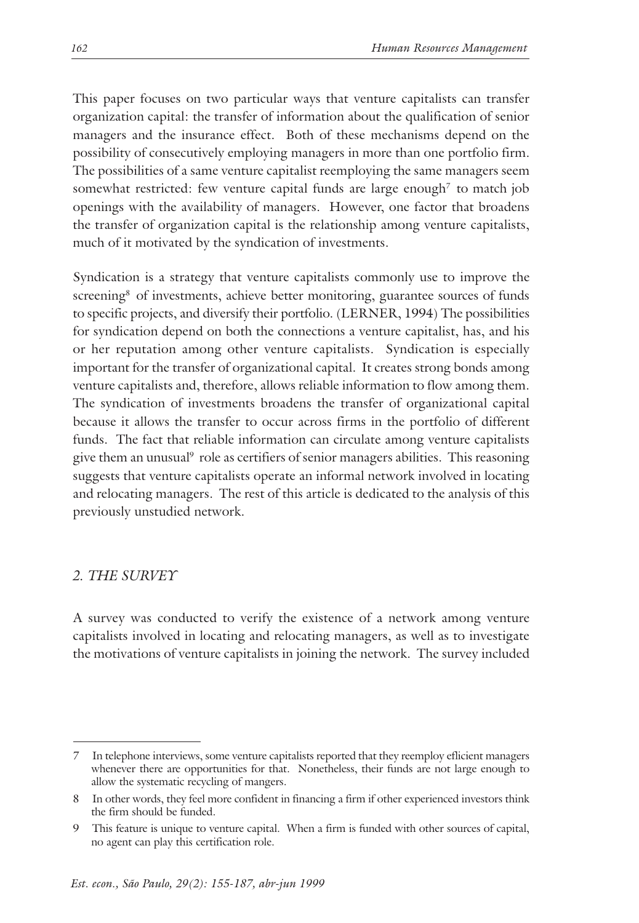This paper focuses on two particular ways that venture capitalists can transfer organization capital: the transfer of information about the qualification of senior managers and the insurance effect. Both of these mechanisms depend on the possibility of consecutively employing managers in more than one portfolio firm. The possibilities of a same venture capitalist reemploying the same managers seem somewhat restricted: few venture capital funds are large enough<sup>7</sup> to match job openings with the availability of managers. However, one factor that broadens the transfer of organization capital is the relationship among venture capitalists, much of it motivated by the syndication of investments.

Syndication is a strategy that venture capitalists commonly use to improve the screening<sup>8</sup> of investments, achieve better monitoring, guarantee sources of funds to specific projects, and diversify their portfolio. (LERNER, 1994) The possibilities for syndication depend on both the connections a venture capitalist, has, and his or her reputation among other venture capitalists. Syndication is especially important for the transfer of organizational capital. It creates strong bonds among venture capitalists and, therefore, allows reliable information to flow among them. The syndication of investments broadens the transfer of organizational capital because it allows the transfer to occur across firms in the portfolio of different funds. The fact that reliable information can circulate among venture capitalists give them an unusual<sup>9</sup> role as certifiers of senior managers abilities. This reasoning suggests that venture capitalists operate an informal network involved in locating and relocating managers. The rest of this article is dedicated to the analysis of this previously unstudied network.

## 2. THE SURVEY

A survey was conducted to verify the existence of a network among venture capitalists involved in locating and relocating managers, as well as to investigate the motivations of venture capitalists in joining the network. The survey included

In telephone interviews, some venture capitalists reported that they reemploy efficient managers whenever there are opportunities for that. Nonetheless, their funds are not large enough to allow the systematic recycling of mangers.

<sup>8</sup> In other words, they feel more confident in financing a firm if other experienced investors think the firm should be funded.

<sup>9</sup> This feature is unique to venture capital. When a firm is funded with other sources of capital, no agent can play this certification role.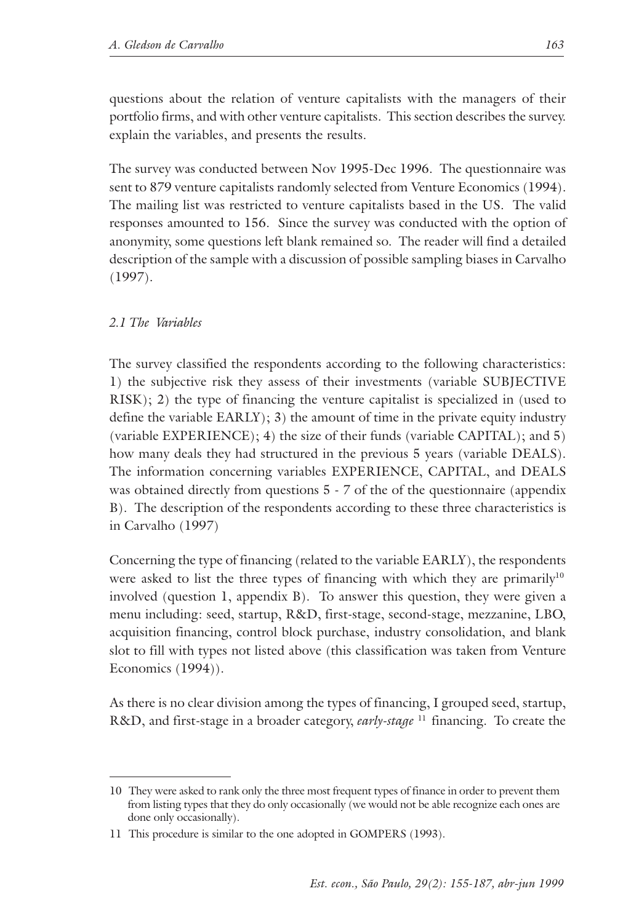questions about the relation of venture capitalists with the managers of their portfolio firms, and with other venture capitalists. This section describes the survey. explain the variables, and presents the results.

The survey was conducted between Nov 1995-Dec 1996. The questionnaire was sent to 879 venture capitalists randomly selected from Venture Economics (1994). The mailing list was restricted to venture capitalists based in the US. The valid responses amounted to 156. Since the survey was conducted with the option of anonymity, some questions left blank remained so. The reader will find a detailed description of the sample with a discussion of possible sampling biases in Carvalho  $(1997).$ 

## 2.1 The Variables

The survey classified the respondents according to the following characteristics: 1) the subjective risk they assess of their investments (variable SUBJECTIVE RISK); 2) the type of financing the venture capitalist is specialized in (used to define the variable  $EARLY$ ; 3) the amount of time in the private equity industry (variable EXPERIENCE); 4) the size of their funds (variable CAPITAL); and 5) how many deals they had structured in the previous 5 years (variable DEALS). The information concerning variables EXPERIENCE, CAPITAL, and DEALS was obtained directly from questions 5 - 7 of the of the questionnaire (appendix B). The description of the respondents according to these three characteristics is in Carvalho (1997)

Concerning the type of financing (related to the variable EARLY), the respondents were asked to list the three types of financing with which they are primarily<sup>10</sup> involved (question 1, appendix B). To answer this question, they were given a menu including: seed, startup, R&D, first-stage, second-stage, mezzanine, LBO, acquisition financing, control block purchase, industry consolidation, and blank slot to fill with types not listed above (this classification was taken from Venture Economics  $(1994)$ ).

As there is no clear division among the types of financing, I grouped seed, startup, R&D, and first-stage in a broader category, early-stage <sup>11</sup> financing. To create the

<sup>10</sup> They were asked to rank only the three most frequent types of finance in order to prevent them from listing types that they do only occasionally (we would not be able recognize each ones are done only occasionally).

<sup>11</sup> This procedure is similar to the one adopted in GOMPERS (1993).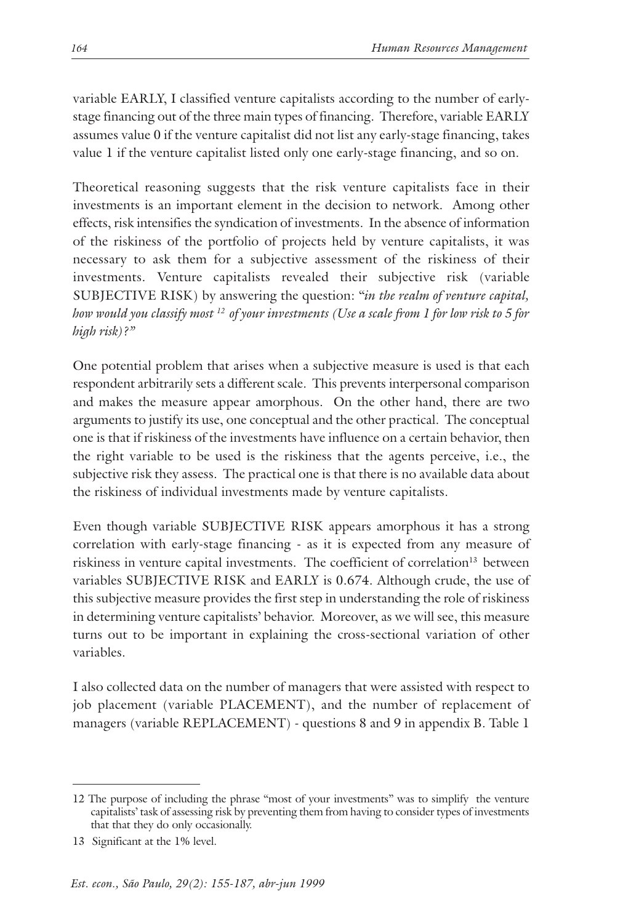variable EARLY, I classified venture capitalists according to the number of earlystage financing out of the three main types of financing. Therefore, variable EARLY assumes value 0 if the venture capitalist did not list any early-stage financing, takes value 1 if the venture capitalist listed only one early-stage financing, and so on.

Theoretical reasoning suggests that the risk venture capitalists face in their investments is an important element in the decision to network. Among other effects, risk intensifies the syndication of investments. In the absence of information of the riskiness of the portfolio of projects held by venture capitalists, it was necessary to ask them for a subjective assessment of the riskiness of their investments. Venture capitalists revealed their subjective risk (variable SUBJECTIVE RISK) by answering the question: "in the realm of venture capital, how would you classify most  $^{12}$  of your investments (Use a scale from 1 for low risk to 5 for  $high$  risk)?"

One potential problem that arises when a subjective measure is used is that each respondent arbitrarily sets a different scale. This prevents interpersonal comparison and makes the measure appear amorphous. On the other hand, there are two arguments to justify its use, one conceptual and the other practical. The conceptual one is that if riskiness of the investments have influence on a certain behavior, then the right variable to be used is the riskiness that the agents perceive, i.e., the subjective risk they assess. The practical one is that there is no available data about the riskiness of individual investments made by venture capitalists.

Even though variable SUBJECTIVE RISK appears amorphous it has a strong correlation with early-stage financing - as it is expected from any measure of riskiness in venture capital investments. The coefficient of correlation<sup>13</sup> between variables SUBJECTIVE RISK and EARLY is 0.674. Although crude, the use of this subjective measure provides the first step in understanding the role of riskiness in determining venture capitalists' behavior. Moreover, as we will see, this measure turns out to be important in explaining the cross-sectional variation of other variables.

I also collected data on the number of managers that were assisted with respect to job placement (variable PLACEMENT), and the number of replacement of managers (variable REPLACEMENT) - questions 8 and 9 in appendix B. Table 1

164

<sup>12</sup> The purpose of including the phrase "most of your investments" was to simplify the venture capitalists' task of assessing risk by preventing them from having to consider types of investments that that they do only occasionally.

<sup>13</sup> Significant at the 1% level.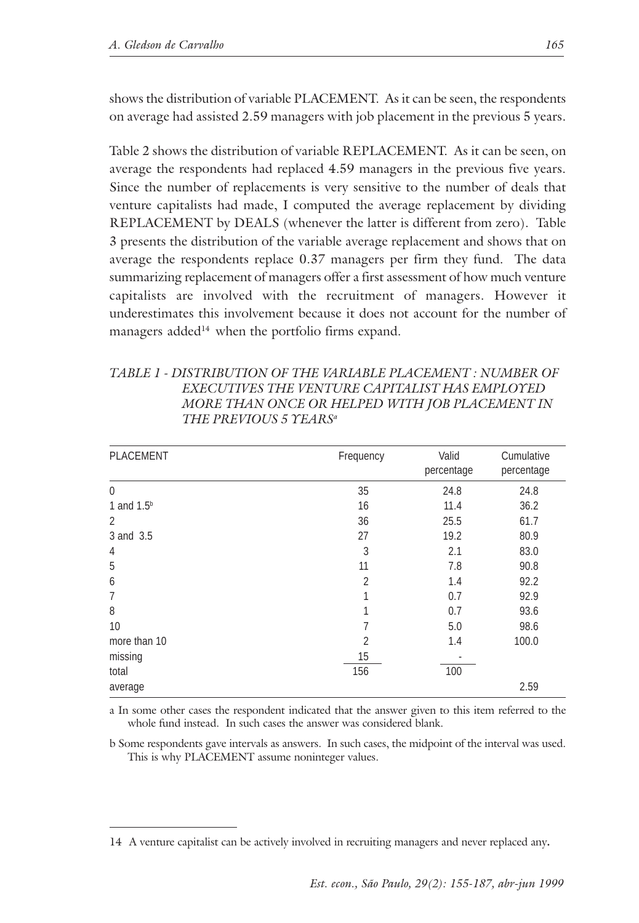shows the distribution of variable PLACEMENT. As it can be seen, the respondents on average had assisted 2.59 managers with job placement in the previous 5 years.

Table 2 shows the distribution of variable REPLACEMENT. As it can be seen, on average the respondents had replaced 4.59 managers in the previous five years. Since the number of replacements is very sensitive to the number of deals that venture capitalists had made, I computed the average replacement by dividing REPLACEMENT by DEALS (whenever the latter is different from zero). Table 3 presents the distribution of the variable average replacement and shows that on average the respondents replace 0.37 managers per firm they fund. The data summarizing replacement of managers offer a first assessment of how much venture capitalists are involved with the recruitment of managers. However it underestimates this involvement because it does not account for the number of managers added<sup>14</sup> when the portfolio firms expand.

## TABLE 1 - DISTRIBUTION OF THE VARIABLE PLACEMENT : NUMBER OF EXECUTIVES THE VENTURE CAPITALIST HAS EMPLOYED MORE THAN ONCE OR HELPED WITH JOB PLACEMENT IN THE PREVIOUS 5 YEARS<sup>a</sup>

| <b>PLACEMENT</b> | Frequency | Valid<br>percentage | Cumulative<br>percentage |
|------------------|-----------|---------------------|--------------------------|
| $\mathbf{0}$     | 35        | 24.8                | 24.8                     |
| 1 and $1.5b$     | 16        | 11.4                | 36.2                     |
| 2                | 36        | 25.5                | 61.7                     |
| 3 and 3.5        | 27        | 19.2                | 80.9                     |
| 4                | 3         | 2.1                 | 83.0                     |
| 5                | 11        | 7.8                 | 90.8                     |
| 6                | 2         | 1.4                 | 92.2                     |
| $\overline{7}$   | 1         | 0.7                 | 92.9                     |
| 8                | 1         | 0.7                 | 93.6                     |
| 10               | 7         | 5.0                 | 98.6                     |
| more than 10     | 2         | 1.4                 | 100.0                    |
| missing          | 15        | ٠                   |                          |
| total            | 156       | 100                 |                          |
| average          |           |                     | 2.59                     |

a In some other cases the respondent indicated that the answer given to this item referred to the whole fund instead. In such cases the answer was considered blank.

b Some respondents gave intervals as answers. In such cases, the midpoint of the interval was used. This is why PLACEMENT assume noninteger values.

<sup>14</sup> A venture capitalist can be actively involved in recruiting managers and never replaced any.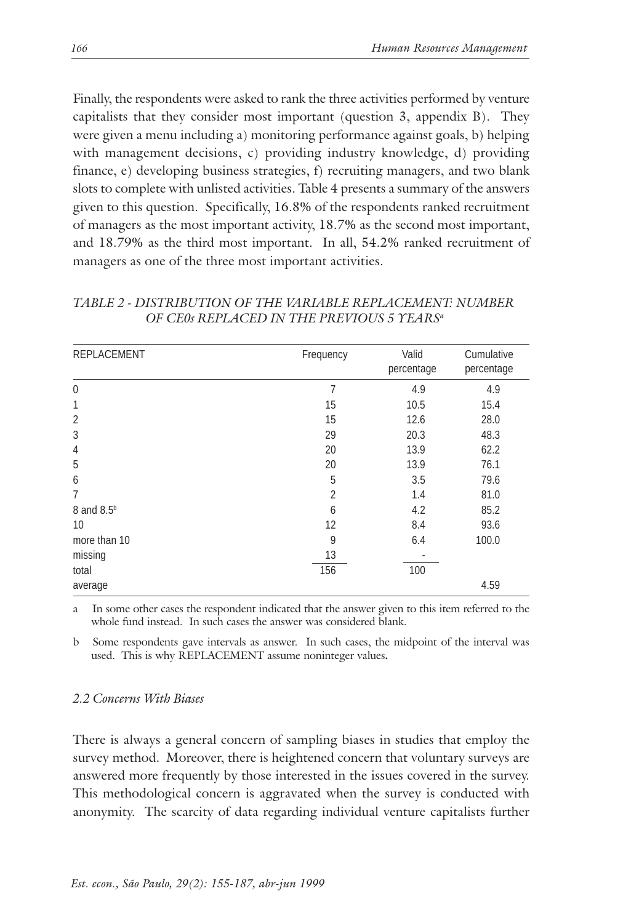Finally, the respondents were asked to rank the three activities performed by venture capitalists that they consider most important (question 3, appendix B). They were given a menu including a) monitoring performance against goals, b) helping with management decisions, c) providing industry knowledge, d) providing finance, e) developing business strategies, f) recruiting managers, and two blank slots to complete with unlisted activities. Table 4 presents a summary of the answers given to this question. Specifically, 16.8% of the respondents ranked recruitment of managers as the most important activity, 18.7% as the second most important, and 18.79% as the third most important. In all, 54.2% ranked recruitment of managers as one of the three most important activities.

| <b>REPLACEMENT</b>     | Frequency      | Valid<br>percentage | Cumulative<br>percentage |
|------------------------|----------------|---------------------|--------------------------|
| $\mathbf{0}$           | 7              | 4.9                 | 4.9                      |
| 1                      | 15             | 10.5                | 15.4                     |
| $\overline{2}$         | 15             | 12.6                | 28.0                     |
| 3                      | 29             | 20.3                | 48.3                     |
| 4                      | 20             | 13.9                | 62.2                     |
| 5                      | 20             | 13.9                | 76.1                     |
| 6                      | 5              | 3.5                 | 79.6                     |
| $\overline{7}$         | $\overline{2}$ | 1.4                 | 81.0                     |
| 8 and 8.5 <sup>b</sup> | 6              | 4.2                 | 85.2                     |
| 10                     | 12             | 8.4                 | 93.6                     |
| more than 10           | 9              | 6.4                 | 100.0                    |
| missing                | 13             |                     |                          |
| total                  | 156            | 100                 |                          |
| average                |                |                     | 4.59                     |

TABLE 2 - DISTRIBUTION OF THE VARIABLE REPLACEMENT: NUMBER OF CEOS REPLACED IN THE PREVIOUS 5 YEARS<sup>a</sup>

In some other cases the respondent indicated that the answer given to this item referred to the whole fund instead. In such cases the answer was considered blank.

Some respondents gave intervals as answer. In such cases, the midpoint of the interval was b used. This is why REPLACEMENT assume noninteger values.

## 2.2 Concerns With Biases

There is always a general concern of sampling biases in studies that employ the survey method. Moreover, there is heightened concern that voluntary surveys are answered more frequently by those interested in the issues covered in the survey. This methodological concern is aggravated when the survey is conducted with anonymity. The scarcity of data regarding individual venture capitalists further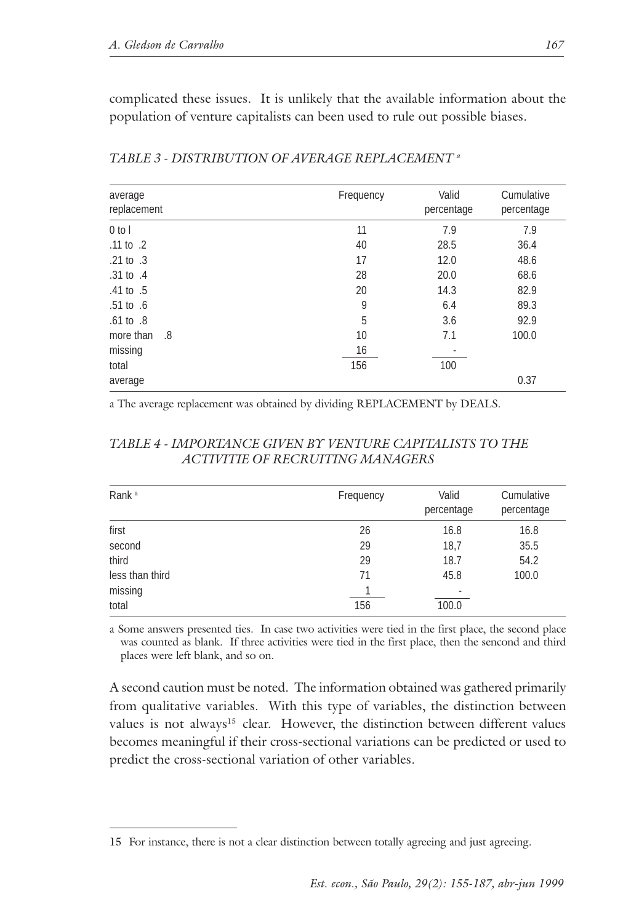complicated these issues. It is unlikely that the available information about the population of venture capitalists can been used to rule out possible biases.

| average<br>replacement | Frequency | Valid<br>percentage | Cumulative<br>percentage |
|------------------------|-----------|---------------------|--------------------------|
| $0$ to $I$             | 11        | 7.9                 | 7.9                      |
| $.11$ to $.2$          | 40        | 28.5                | 36.4                     |
| $.21$ to $.3$          | 17        | 12.0                | 48.6                     |
| $.31$ to $.4$          | 28        | 20.0                | 68.6                     |
| $.41$ to $.5$          | 20        | 14.3                | 82.9                     |
| $.51$ to $.6$          | 9         | 6.4                 | 89.3                     |
| $.61$ to $.8$          | 5         | 3.6                 | 92.9                     |
| more than<br>.8        | 10        | 7.1                 | 100.0                    |
| missing                | 16        | ٠                   |                          |
| total                  | 156       | 100                 |                          |
| average                |           |                     | 0.37                     |

TABLE 3 - DISTRIBUTION OF AVERAGE REPLACEMENT<sup>®</sup>

a The average replacement was obtained by dividing REPLACEMENT by DEALS.

| Rank <sup>a</sup> | Frequency | Valid<br>percentage | Cumulative<br>percentage |
|-------------------|-----------|---------------------|--------------------------|
| first             | 26        | 16.8                | 16.8                     |
| second            | 29        | 18,7                | 35.5                     |
| third             | 29        | 18.7                | 54.2                     |
| less than third   | 71        | 45.8                | 100.0                    |
| missing           |           | ٠                   |                          |
| total             | 156       | 100.0               |                          |

## TABLE 4 - IMPORTANCE GIVEN BY VENTURE CAPITALISTS TO THE ACTIVITIE OF RECRUITING MANAGERS

a Some answers presented ties. In case two activities were tied in the first place, the second place was counted as blank. If three activities were tied in the first place, then the sencond and third places were left blank, and so on.

A second caution must be noted. The information obtained was gathered primarily from qualitative variables. With this type of variables, the distinction between values is not always<sup>15</sup> clear. However, the distinction between different values becomes meaningful if their cross-sectional variations can be predicted or used to predict the cross-sectional variation of other variables.

<sup>15</sup> For instance, there is not a clear distinction between totally agreeing and just agreeing.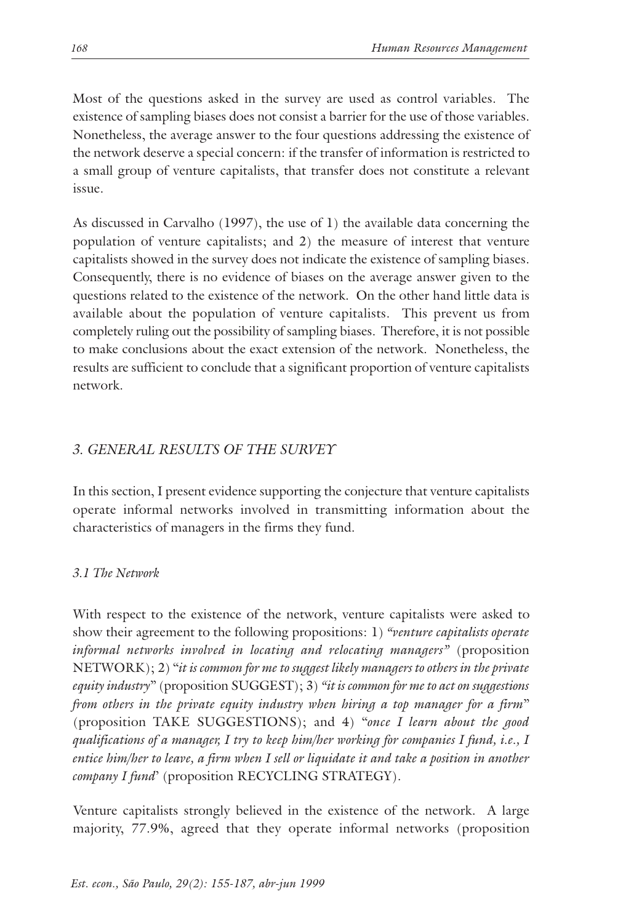Most of the questions asked in the survey are used as control variables. The existence of sampling biases does not consist a barrier for the use of those variables. Nonetheless, the average answer to the four questions addressing the existence of the network deserve a special concern: if the transfer of information is restricted to a small group of venture capitalists, that transfer does not constitute a relevant issue.

As discussed in Carvalho  $(1997)$ , the use of 1) the available data concerning the population of venture capitalists; and 2) the measure of interest that venture capitalists showed in the survey does not indicate the existence of sampling biases. Consequently, there is no evidence of biases on the average answer given to the questions related to the existence of the network. On the other hand little data is available about the population of venture capitalists. This prevent us from completely ruling out the possibility of sampling biases. Therefore, it is not possible to make conclusions about the exact extension of the network. Nonetheless, the results are sufficient to conclude that a significant proportion of venture capitalists network.

# 3. GENERAL RESULTS OF THE SURVEY

In this section, I present evidence supporting the conjecture that venture capitalists operate informal networks involved in transmitting information about the characteristics of managers in the firms they fund.

## 3.1 The Network

With respect to the existence of the network, venture capitalists were asked to show their agreement to the following propositions: 1) *"venture capitalists operate* informal networks involved in locating and relocating managers" (proposition NETWORK); 2) "it is common for me to suggest likely managers to others in the private *equity industry*" (proposition SUGGEST); 3) "it is common for me to act on suggestions from others in the private equity industry when hiring a top manager for a firm" (proposition TAKE SUGGESTIONS); and 4) "once I learn about the good qualifications of a manager, I try to keep him/her working for companies I fund, i.e., I entice him/her to leave, a firm when I sell or liquidate it and take a position in another company I fund' (proposition RECYCLING STRATEGY).

Venture capitalists strongly believed in the existence of the network. A large majority, 77.9%, agreed that they operate informal networks (proposition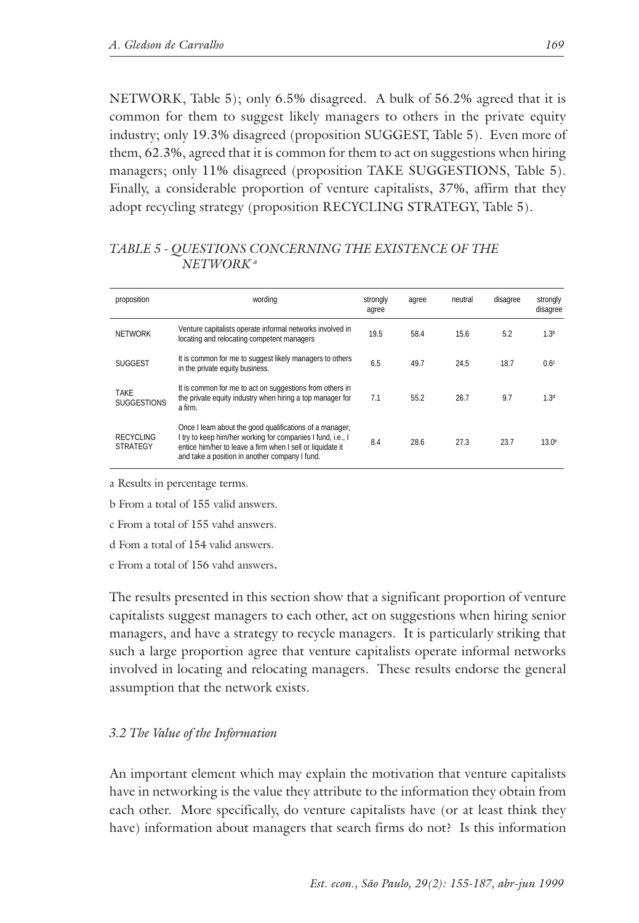NETWORK, Table 5); only 6.5% disagreed. A bulk of 56.2% agreed that it is common for them to suggest likely managers to others in the private equity industry; only 19.3% disagreed (proposition SUGGEST, Table 5). Even more of them, 62.3%, agreed that it is common for them to act on suggestions when hiring managers; only 11% disagreed (proposition TAKE SUGGESTIONS, Table 5). Finally, a considerable proportion of venture capitalists, 37%, affirm that they adopt recycling strategy (proposition RECYCLING STRATEGY, Table 5).

## TABLE 5 - QUESTIONS CONCERNING THE EXISTENCE OF THE NETWORK<sup>®</sup>

| proposition                         | wording                                                                                                                                                                                                                                | strongly<br>agree | agree | neutral | disagree | strongly<br>disagree |
|-------------------------------------|----------------------------------------------------------------------------------------------------------------------------------------------------------------------------------------------------------------------------------------|-------------------|-------|---------|----------|----------------------|
| <b>NETWORK</b>                      | Venture capitalists operate informal networks involved in<br>locating and relocating competent managers                                                                                                                                | 19.5              | 58.4  | 15.6    | 5.2      | 1.3 <sup>b</sup>     |
| <b>SUGGEST</b>                      | It is common for me to suggest likely managers to others<br>in the private equity business.                                                                                                                                            | 6.5               | 49.7  | 24.5    | 18.7     | 0.6 <sup>c</sup>     |
| <b>TAKE</b><br><b>SUGGESTIONS</b>   | It is common for me to act on suggestions from others in<br>the private equity industry when hiring a top manager for<br>a firm.                                                                                                       | 7.1               | 55.2  | 26.7    | 9.7      | 1.3 <sup>d</sup>     |
| <b>RECYCLING</b><br><b>STRATEGY</b> | Once I leam about the good qualifications of a manager.<br>I try to keep him/her working for companies I fund, i.e., I<br>entice him/her to leave a firm when I sell or liquidate it<br>and take a position in another company I fund. | 8.4               | 28.6  | 27.3    | 23.7     | $13.0^\circ$         |

a Results in percentage terms.

b From a total of 155 valid answers.

c From a total of 155 vahd answers.

d Fom a total of 154 valid answers.

e From a total of 156 vahd answers.

The results presented in this section show that a significant proportion of venture capitalists suggest managers to each other, act on suggestions when hiring senior managers, and have a strategy to recycle managers. It is particularly striking that such a large proportion agree that venture capitalists operate informal networks involved in locating and relocating managers. These results endorse the general assumption that the network exists.

#### 3.2 The Value of the Information

An important element which may explain the motivation that venture capitalists have in networking is the value they attribute to the information they obtain from each other. More specifically, do venture capitalists have (or at least think they have) information about managers that search firms do not? Is this information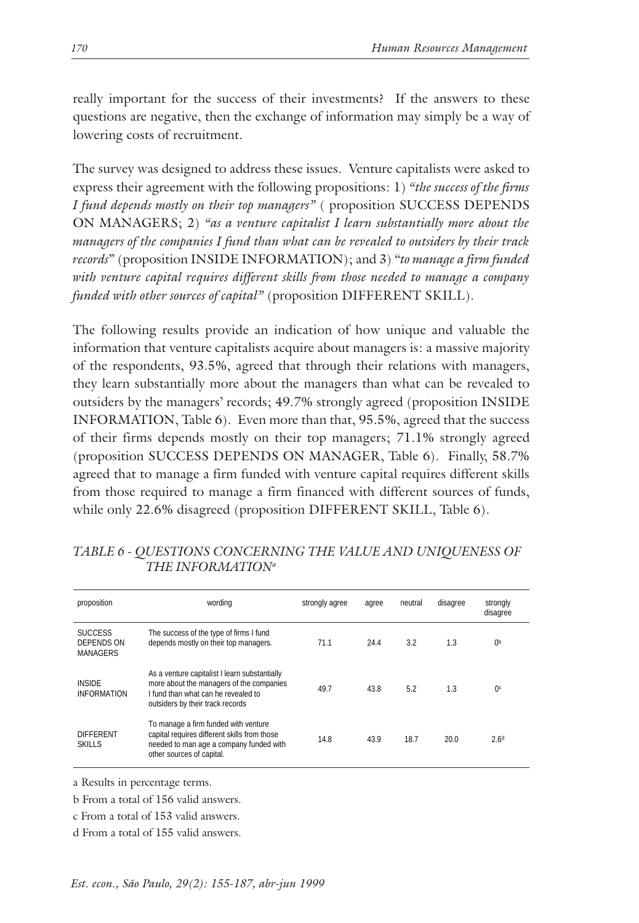really important for the success of their investments? If the answers to these questions are negative, then the exchange of information may simply be a way of lowering costs of recruitment.

The survey was designed to address these issues. Venture capitalists were asked to express their agreement with the following propositions: 1) "the success of the firms I fund depends mostly on their top managers" (proposition SUCCESS DEPENDS ON MANAGERS; 2) "as a venture capitalist I learn substantially more about the managers of the companies I fund than what can be revealed to outsiders by their track *records*" (proposition INSIDE INFORMATION); and 3) "to manage a firm funded with venture capital requires different skills from those needed to manage a company funded with other sources of capital" (proposition DIFFERENT SKILL).

The following results provide an indication of how unique and valuable the information that venture capitalists acquire about managers is: a massive majority of the respondents, 93.5%, agreed that through their relations with managers, they learn substantially more about the managers than what can be revealed to outsiders by the managers' records; 49.7% strongly agreed (proposition INSIDE INFORMATION, Table 6). Even more than that, 95.5%, agreed that the success of their firms depends mostly on their top managers; 71.1% strongly agreed (proposition SUCCESS DEPENDS ON MANAGER, Table 6). Finally, 58.7% agreed that to manage a firm funded with venture capital requires different skills from those required to manage a firm financed with different sources of funds, while only 22.6% disagreed (proposition DIFFERENT SKILL, Table 6).

| proposition                                     | wording                                                                                                                                                              | strongly agree | agree | neutral | disagree | strongly<br>disagree |
|-------------------------------------------------|----------------------------------------------------------------------------------------------------------------------------------------------------------------------|----------------|-------|---------|----------|----------------------|
| <b>SUCCESS</b><br><b>DEPENDS ON</b><br>MANAGERS | The success of the type of firms I fund<br>depends mostly on their top managers.                                                                                     | 71.1           | 24.4  | 3.2     | 1.3      | 0 <sub>p</sub>       |
| <b>INSIDE</b><br><b>INFORMATION</b>             | As a venture capitalist I learn substantially<br>more about the managers of the companies<br>I fund than what can be revealed to<br>outsiders by their track records | 49.7           | 43.8  | 5.2     | 1.3      | 0 <sup>c</sup>       |
| <b>DIFFERENT</b><br><b>SKILLS</b>               | To manage a firm funded with venture<br>capital requires different skills from those<br>needed to man age a company funded with<br>other sources of capital.         | 14.8           | 43.9  | 18.7    | 20.0     | 2.6 <sup>d</sup>     |

TABLE 6 - QUESTIONS CONCERNING THE VALUE AND UNIQUENESS OF THE INFORMATION<sup>a</sup>

a Results in percentage terms.

b From a total of 156 valid answers.

c From a total of 153 valid answers.

d From a total of 155 valid answers.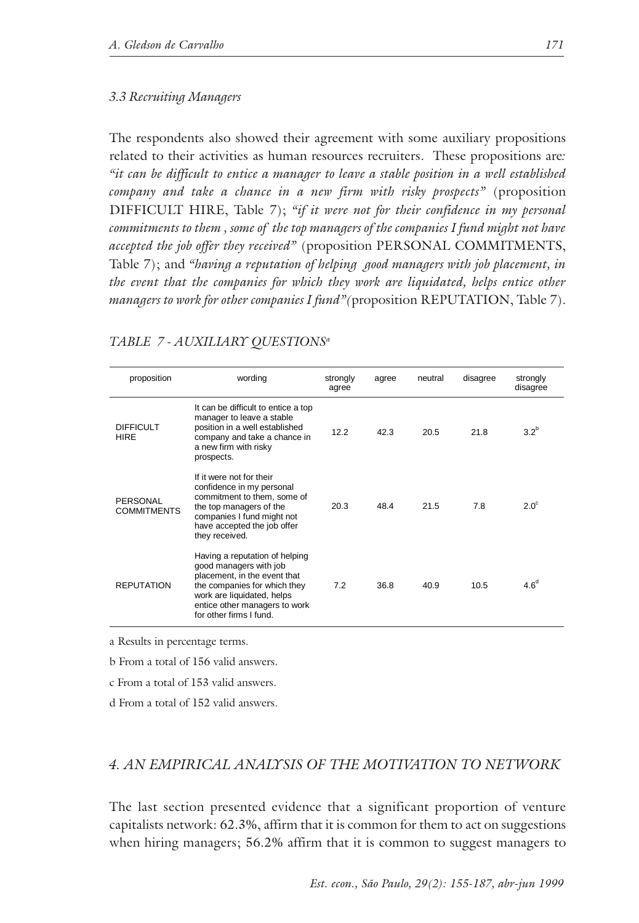#### 3.3 Recruiting Managers

The respondents also showed their agreement with some auxiliary propositions related to their activities as human resources recruiters. These propositions are: "it can be difficult to entice a manager to leave a stable position in a well established company and take a chance in a new firm with risky prospects" (proposition DIFFICULT HIRE, Table 7); "if it were not for their confidence in my personal commitments to them, some of the top managers of the companies I fund might not have accepted the job offer they received" (proposition PERSONAL COMMITMENTS, Table 7); and "having a reputation of helping good managers with job placement, in the event that the companies for which they work are liquidated, helps entice other managers to work for other companies I fund" (proposition REPUTATION, Table 7).

| proposition                     | wording                                                                                                                                                                                                            | strongly<br>agree | agree | neutral | disagree | strongly<br>disagree |
|---------------------------------|--------------------------------------------------------------------------------------------------------------------------------------------------------------------------------------------------------------------|-------------------|-------|---------|----------|----------------------|
| <b>DIFFICULT</b><br><b>HIRE</b> | It can be difficult to entice a top<br>manager to leave a stable<br>position in a well established<br>company and take a chance in<br>a new firm with risky<br>prospects.                                          | 12.2              | 42.3  | 20.5    | 21.8     | $3.2^b$              |
| PERSONAL<br><b>COMMITMENTS</b>  | If it were not for their<br>confidence in my personal<br>commitment to them, some of<br>the top managers of the<br>companies I fund might not<br>have accepted the job offer<br>they received.                     | 20.3              | 48.4  | 21.5    | 7.8      | $2.0^\circ$          |
| <b>REPUTATION</b>               | Having a reputation of helping<br>good managers with job<br>placement, in the event that<br>the companies for which they<br>work are liquidated, helps<br>entice other managers to work<br>for other firms I fund. | 7.2               | 36.8  | 40.9    | 10.5     | 4.6 <sup>d</sup>     |

#### TABLE 7 - AUXILIARY QUESTIONS<sup>a</sup>

a Results in percentage terms.

b From a total of 156 valid answers.

c From a total of 153 valid answers.

d From a total of 152 valid answers.

#### 4. AN EMPIRICAL ANALYSIS OF THE MOTIVATION TO NETWORK

The last section presented evidence that a significant proportion of venture capitalists network: 62.3%, affirm that it is common for them to act on suggestions when hiring managers; 56.2% affirm that it is common to suggest managers to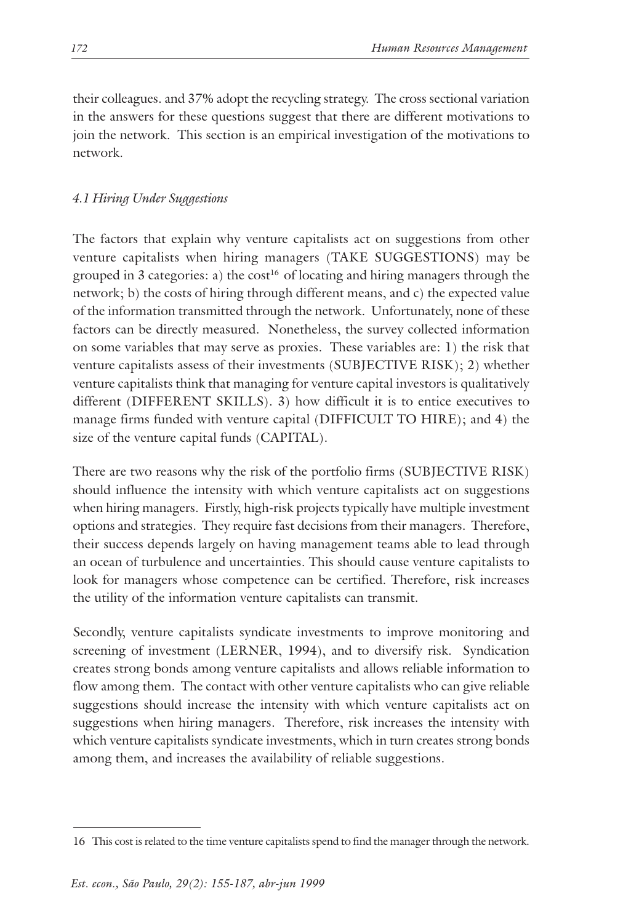their colleagues. and 37% adopt the recycling strategy. The cross sectional variation in the answers for these questions suggest that there are different motivations to join the network. This section is an empirical investigation of the motivations to network.

## 4.1 Hiring Under Suggestions

The factors that explain why venture capitalists act on suggestions from other venture capitalists when hiring managers (TAKE SUGGESTIONS) may be grouped in 3 categories: a) the cost<sup>16</sup> of locating and hiring managers through the network; b) the costs of hiring through different means, and c) the expected value of the information transmitted through the network. Unfortunately, none of these factors can be directly measured. Nonetheless, the survey collected information on some variables that may serve as proxies. These variables are: 1) the risk that venture capitalists assess of their investments (SUBJECTIVE RISK); 2) whether venture capitalists think that managing for venture capital investors is qualitatively different (DIFFERENT SKILLS). 3) how difficult it is to entice executives to manage firms funded with venture capital (DIFFICULT TO HIRE); and 4) the size of the venture capital funds (CAPITAL).

There are two reasons why the risk of the portfolio firms (SUBJECTIVE RISK) should influence the intensity with which venture capitalists act on suggestions when hiring managers. Firstly, high-risk projects typically have multiple investment options and strategies. They require fast decisions from their managers. Therefore, their success depends largely on having management teams able to lead through an ocean of turbulence and uncertainties. This should cause venture capitalists to look for managers whose competence can be certified. Therefore, risk increases the utility of the information venture capitalists can transmit.

Secondly, venture capitalists syndicate investments to improve monitoring and screening of investment (LERNER, 1994), and to diversify risk. Syndication creates strong bonds among venture capitalists and allows reliable information to flow among them. The contact with other venture capitalists who can give reliable suggestions should increase the intensity with which venture capitalists act on suggestions when hiring managers. Therefore, risk increases the intensity with which venture capitalists syndicate investments, which in turn creates strong bonds among them, and increases the availability of reliable suggestions.

<sup>16</sup> This cost is related to the time venture capitalists spend to find the manager through the network.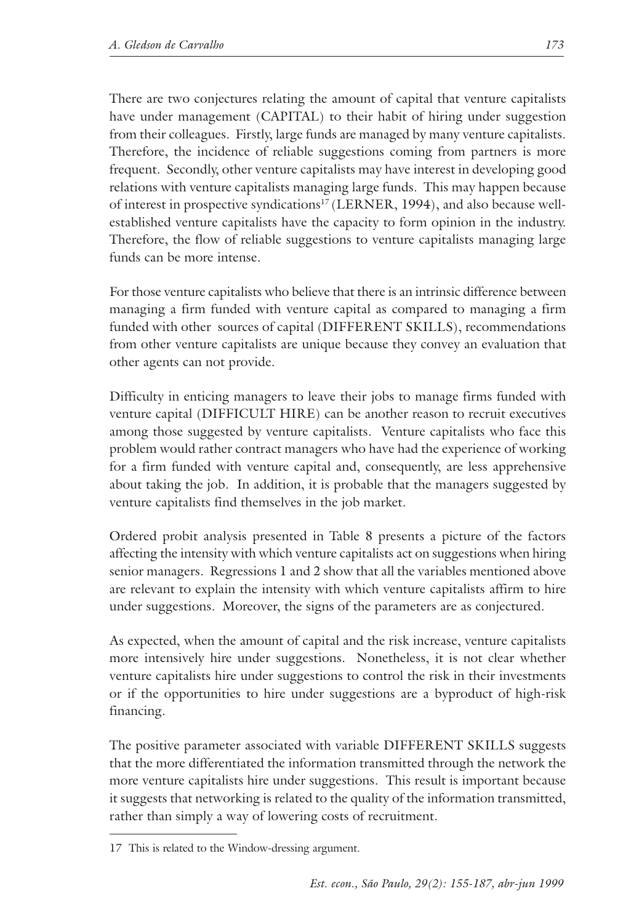There are two conjectures relating the amount of capital that venture capitalists have under management (CAPITAL) to their habit of hiring under suggestion from their colleagues. Firstly, large funds are managed by many venture capitalists. Therefore, the incidence of reliable suggestions coming from partners is more frequent. Secondly, other venture capitalists may have interest in developing good relations with venture capitalists managing large funds. This may happen because of interest in prospective syndications<sup>17</sup> (LERNER, 1994), and also because wellestablished venture capitalists have the capacity to form opinion in the industry. Therefore, the flow of reliable suggestions to venture capitalists managing large funds can be more intense.

For those venture capitalists who believe that there is an intrinsic difference between managing a firm funded with venture capital as compared to managing a firm funded with other sources of capital (DIFFERENT SKILLS), recommendations from other venture capitalists are unique because they convey an evaluation that other agents can not provide.

Difficulty in enticing managers to leave their jobs to manage firms funded with venture capital (DIFFICULT HIRE) can be another reason to recruit executives among those suggested by venture capitalists. Venture capitalists who face this problem would rather contract managers who have had the experience of working for a firm funded with venture capital and, consequently, are less apprehensive about taking the job. In addition, it is probable that the managers suggested by venture capitalists find themselves in the job market.

Ordered probit analysis presented in Table 8 presents a picture of the factors affecting the intensity with which venture capitalists act on suggestions when hiring senior managers. Regressions 1 and 2 show that all the variables mentioned above are relevant to explain the intensity with which venture capitalists affirm to hire under suggestions. Moreover, the signs of the parameters are as conjectured.

As expected, when the amount of capital and the risk increase, venture capitalists more intensively hire under suggestions. Nonetheless, it is not clear whether venture capitalists hire under suggestions to control the risk in their investments or if the opportunities to hire under suggestions are a byproduct of high-risk financing.

The positive parameter associated with variable DIFFERENT SKILLS suggests that the more differentiated the information transmitted through the network the more venture capitalists hire under suggestions. This result is important because it suggests that networking is related to the quality of the information transmitted, rather than simply a way of lowering costs of recruitment.

<sup>17</sup> This is related to the Window-dressing argument.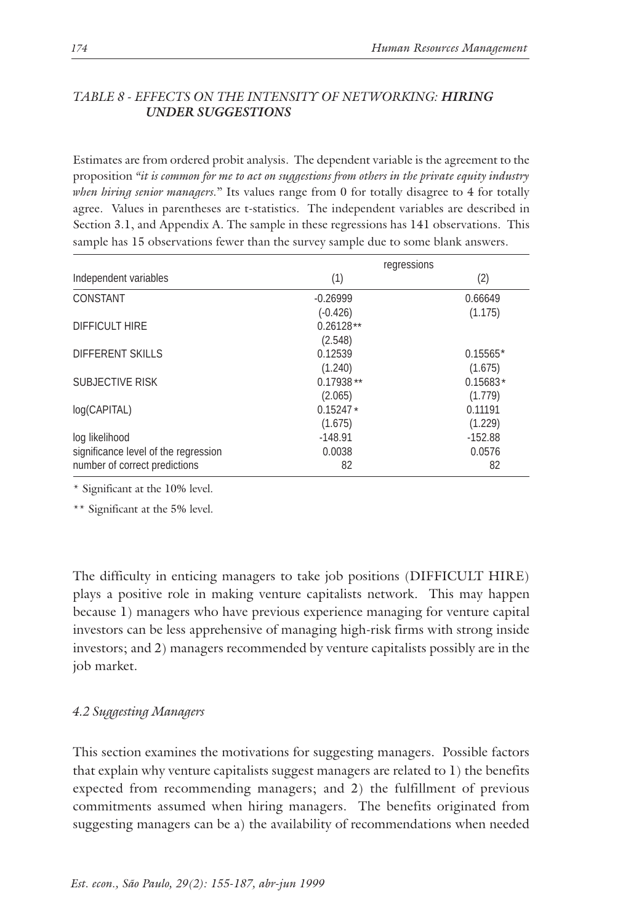## TABLE 8 - EFFECTS ON THE INTENSITY OF NETWORKING: HIRING **UNDER SUGGESTIONS**

Estimates are from ordered probit analysis. The dependent variable is the agreement to the proposition "it is common for me to act on suggestions from others in the private equity industry when hiring senior managers." Its values range from 0 for totally disagree to 4 for totally agree. Values in parentheses are t-statistics. The independent variables are described in Section 3.1, and Appendix A. The sample in these regressions has 141 observations. This sample has 15 observations fewer than the survey sample due to some blank answers.

|                                      | regressions |            |
|--------------------------------------|-------------|------------|
| Independent variables                | (1)         | (2)        |
| CONSTANT                             | $-0.26999$  | 0.66649    |
|                                      | $(-0.426)$  | (1.175)    |
| <b>DIFFICULT HIRE</b>                | $0.26128**$ |            |
|                                      | (2.548)     |            |
| <b>DIFFERENT SKILLS</b>              | 0.12539     | $0.15565*$ |
|                                      | (1.240)     | (1.675)    |
| <b>SUBJECTIVE RISK</b>               | $0.17938**$ | $0.15683*$ |
|                                      | (2.065)     | (1.779)    |
| log(CAPITAL)                         | $0.15247*$  | 0.11191    |
|                                      | (1.675)     | (1.229)    |
| log likelihood                       | $-148.91$   | $-152.88$  |
| significance level of the regression | 0.0038      | 0.0576     |
| number of correct predictions        | 82          | 82         |

\* Significant at the 10% level.

\*\* Significant at the 5% level.

The difficulty in enticing managers to take job positions (DIFFICULT HIRE) plays a positive role in making venture capitalists network. This may happen because 1) managers who have previous experience managing for venture capital investors can be less apprehensive of managing high-risk firms with strong inside investors; and 2) managers recommended by venture capitalists possibly are in the job market.

## 4.2 Suggesting Managers

This section examines the motivations for suggesting managers. Possible factors that explain why venture capitalists suggest managers are related to 1) the benefits expected from recommending managers; and 2) the fulfillment of previous commitments assumed when hiring managers. The benefits originated from suggesting managers can be a) the availability of recommendations when needed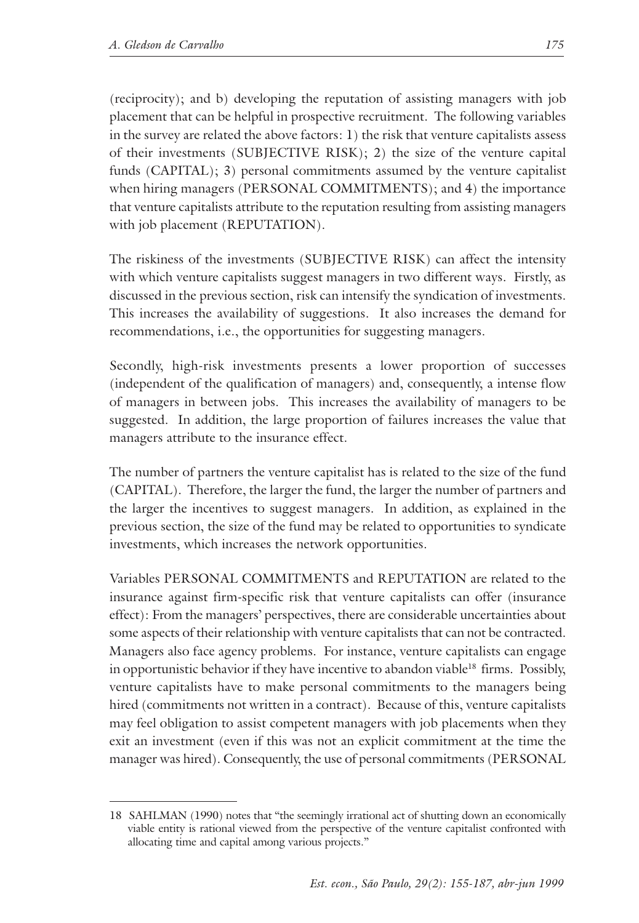(reciprocity); and b) developing the reputation of assisting managers with job placement that can be helpful in prospective recruitment. The following variables in the survey are related the above factors: 1) the risk that venture capitalists assess of their investments (SUBJECTIVE RISK); 2) the size of the venture capital funds (CAPITAL); 3) personal commitments assumed by the venture capitalist when hiring managers (PERSONAL COMMITMENTS); and 4) the importance that venture capitalists attribute to the reputation resulting from assisting managers with job placement (REPUTATION).

The riskiness of the investments (SUBJECTIVE RISK) can affect the intensity with which venture capitalists suggest managers in two different ways. Firstly, as discussed in the previous section, risk can intensify the syndication of investments. This increases the availability of suggestions. It also increases the demand for recommendations, i.e., the opportunities for suggesting managers.

Secondly, high-risk investments presents a lower proportion of successes (independent of the qualification of managers) and, consequently, a intense flow of managers in between jobs. This increases the availability of managers to be suggested. In addition, the large proportion of failures increases the value that managers attribute to the insurance effect.

The number of partners the venture capitalist has is related to the size of the fund (CAPITAL). Therefore, the larger the fund, the larger the number of partners and the larger the incentives to suggest managers. In addition, as explained in the previous section, the size of the fund may be related to opportunities to syndicate investments, which increases the network opportunities.

Variables PERSONAL COMMITMENTS and REPUTATION are related to the insurance against firm-specific risk that venture capitalists can offer (insurance effect): From the managers' perspectives, there are considerable uncertainties about some aspects of their relationship with venture capitalists that can not be contracted. Managers also face agency problems. For instance, venture capitalists can engage in opportunistic behavior if they have incentive to abandon viable<sup>18</sup> firms. Possibly, venture capitalists have to make personal commitments to the managers being hired (commitments not written in a contract). Because of this, venture capitalists may feel obligation to assist competent managers with job placements when they exit an investment (even if this was not an explicit commitment at the time the manager was hired). Consequently, the use of personal commitments (PERSONAL

<sup>18</sup> SAHLMAN (1990) notes that "the seemingly irrational act of shutting down an economically viable entity is rational viewed from the perspective of the venture capitalist confronted with allocating time and capital among various projects."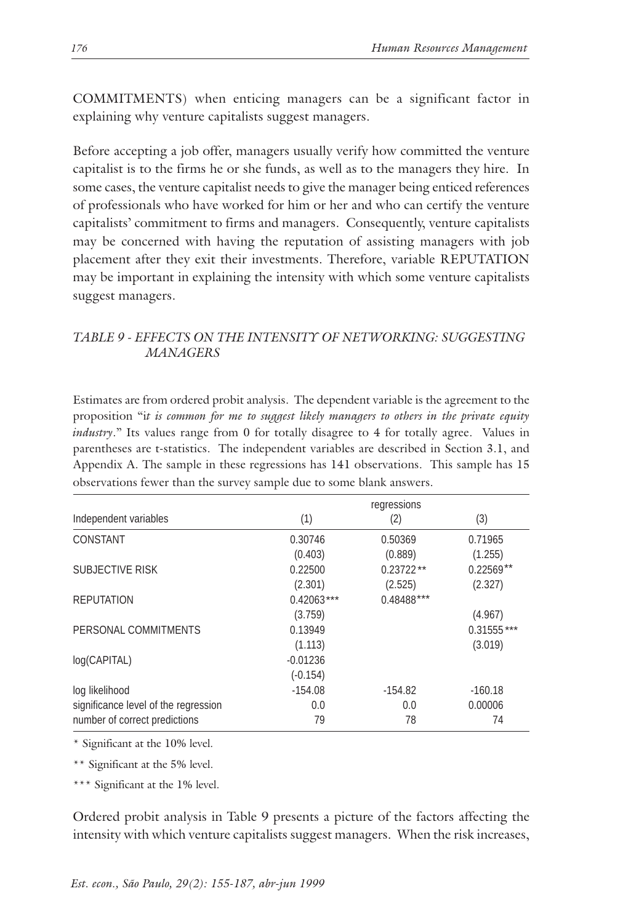COMMITMENTS) when enticing managers can be a significant factor in explaining why venture capitalists suggest managers.

Before accepting a job offer, managers usually verify how committed the venture capitalist is to the firms he or she funds, as well as to the managers they hire. In some cases, the venture capitalist needs to give the manager being enticed references of professionals who have worked for him or her and who can certify the venture capitalists' commitment to firms and managers. Consequently, venture capitalists may be concerned with having the reputation of assisting managers with job placement after they exit their investments. Therefore, variable REPUTATION may be important in explaining the intensity with which some venture capitalists suggest managers.

## TABLE 9 - EFFECTS ON THE INTENSITY OF NETWORKING: SUGGESTING **MANAGERS**

Estimates are from ordered probit analysis. The dependent variable is the agreement to the proposition "it is common for me to suggest likely managers to others in the private equity *industry.*" Its values range from 0 for totally disagree to 4 for totally agree. Values in parentheses are t-statistics. The independent variables are described in Section 3.1, and Appendix A. The sample in these regressions has 141 observations. This sample has 15 observations fewer than the survey sample due to some blank answers.

|                                      |              | regressions  |              |
|--------------------------------------|--------------|--------------|--------------|
| Independent variables                | (1)          | (2)          | (3)          |
| CONSTANT                             | 0.30746      | 0.50369      | 0.71965      |
|                                      | (0.403)      | (0.889)      | (1.255)      |
| <b>SUBJECTIVE RISK</b>               | 0.22500      | $0.23722**$  | $0.22569**$  |
|                                      | (2.301)      | (2.525)      | (2.327)      |
| <b>REPUTATION</b>                    | $0.42063***$ | $0.48488***$ |              |
|                                      | (3.759)      |              | (4.967)      |
| PERSONAL COMMITMENTS                 | 0.13949      |              | $0.31555***$ |
|                                      | (1.113)      |              | (3.019)      |
| log(CAPITAL)                         | $-0.01236$   |              |              |
|                                      | $(-0.154)$   |              |              |
| log likelihood                       | $-154.08$    | $-154.82$    | $-160.18$    |
| significance level of the regression | 0.0          | 0.0          | 0.00006      |
| number of correct predictions        | 79           | 78           | 74           |

\* Significant at the 10% level.

\*\* Significant at the 5% level.

\*\*\* Significant at the 1% level.

Ordered probit analysis in Table 9 presents a picture of the factors affecting the intensity with which venture capitalists suggest managers. When the risk increases,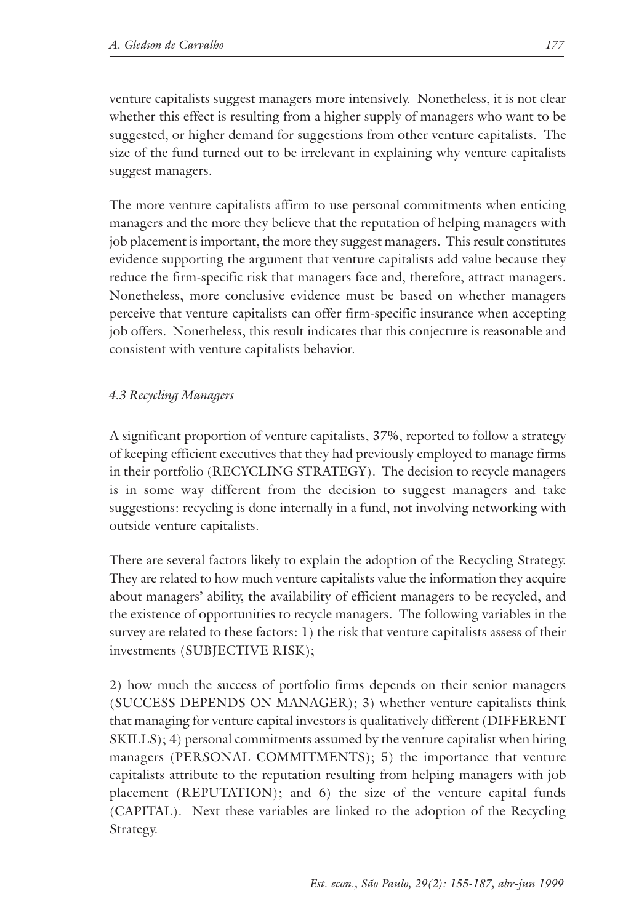venture capitalists suggest managers more intensively. Nonetheless, it is not clear whether this effect is resulting from a higher supply of managers who want to be suggested, or higher demand for suggestions from other venture capitalists. The size of the fund turned out to be irrelevant in explaining why venture capitalists suggest managers.

The more venture capitalists affirm to use personal commitments when enticing managers and the more they believe that the reputation of helping managers with job placement is important, the more they suggest managers. This result constitutes evidence supporting the argument that venture capitalists add value because they reduce the firm-specific risk that managers face and, therefore, attract managers. Nonetheless, more conclusive evidence must be based on whether managers perceive that venture capitalists can offer firm-specific insurance when accepting job offers. Nonetheless, this result indicates that this conjecture is reasonable and consistent with venture capitalists behavior.

# 4.3 Recycling Managers

A significant proportion of venture capitalists, 37%, reported to follow a strategy of keeping efficient executives that they had previously employed to manage firms in their portfolio (RECYCLING STRATEGY). The decision to recycle managers is in some way different from the decision to suggest managers and take suggestions: recycling is done internally in a fund, not involving networking with outside venture capitalists.

There are several factors likely to explain the adoption of the Recycling Strategy. They are related to how much venture capitalists value the information they acquire about managers' ability, the availability of efficient managers to be recycled, and the existence of opportunities to recycle managers. The following variables in the survey are related to these factors: 1) the risk that venture capitalists assess of their investments (SUBJECTIVE RISK);

2) how much the success of portfolio firms depends on their senior managers (SUCCESS DEPENDS ON MANAGER); 3) whether venture capitalists think that managing for venture capital investors is qualitatively different (DIFFERENT) SKILLS); 4) personal commitments assumed by the venture capitalist when hiring managers (PERSONAL COMMITMENTS); 5) the importance that venture capitalists attribute to the reputation resulting from helping managers with job placement (REPUTATION); and 6) the size of the venture capital funds (CAPITAL). Next these variables are linked to the adoption of the Recycling Strategy.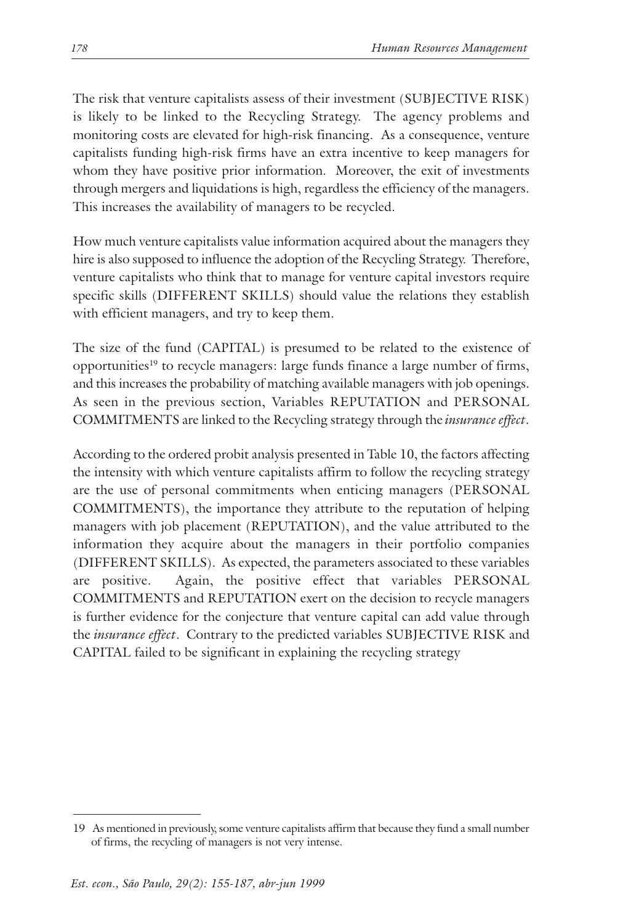The risk that venture capitalists assess of their investment (SUBJECTIVE RISK) is likely to be linked to the Recycling Strategy. The agency problems and monitoring costs are elevated for high-risk financing. As a consequence, venture capitalists funding high-risk firms have an extra incentive to keep managers for whom they have positive prior information. Moreover, the exit of investments through mergers and liquidations is high, regardless the efficiency of the managers. This increases the availability of managers to be recycled.

How much venture capitalists value information acquired about the managers they hire is also supposed to influence the adoption of the Recycling Strategy. Therefore, venture capitalists who think that to manage for venture capital investors require specific skills (DIFFERENT SKILLS) should value the relations they establish with efficient managers, and try to keep them.

The size of the fund (CAPITAL) is presumed to be related to the existence of opportunities<sup>19</sup> to recycle managers: large funds finance a large number of firms, and this increases the probability of matching available managers with job openings. As seen in the previous section, Variables REPUTATION and PERSONAL COMMITMENTS are linked to the Recycling strategy through the *insurance effect*.

According to the ordered probit analysis presented in Table 10, the factors affecting the intensity with which venture capitalists affirm to follow the recycling strategy are the use of personal commitments when enticing managers (PERSONAL COMMITMENTS), the importance they attribute to the reputation of helping managers with job placement (REPUTATION), and the value attributed to the information they acquire about the managers in their portfolio companies (DIFFERENT SKILLS). As expected, the parameters associated to these variables Again, the positive effect that variables PERSONAL are positive. **COMMITMENTS** and REPUTATION exert on the decision to recycle managers is further evidence for the conjecture that venture capital can add value through the *insurance effect*. Contrary to the predicted variables SUBJECTIVE RISK and CAPITAL failed to be significant in explaining the recycling strategy

<sup>19</sup> As mentioned in previously, some venture capitalists affirm that because they fund a small number of firms, the recycling of managers is not very intense.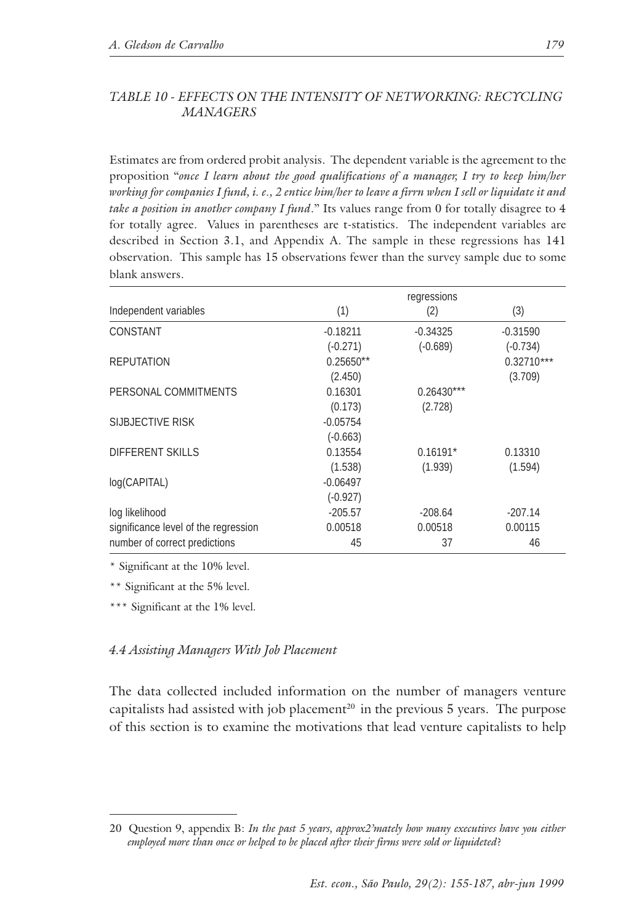## TABLE 10 - EFFECTS ON THE INTENSITY OF NETWORKING: RECYCLING **MANAGERS**

Estimates are from ordered probit analysis. The dependent variable is the agreement to the proposition "once I learn about the good qualifications of a manager, I try to keep him/her working for companies I fund, i. e., 2 entice him/her to leave a firrn when I sell or liquidate it and take a position in another company I fund." Its values range from 0 for totally disagree to  $4$ for totally agree. Values in parentheses are t-statistics. The independent variables are described in Section 3.1, and Appendix A. The sample in these regressions has 141 observation. This sample has 15 observations fewer than the survey sample due to some blank answers.

|                                      | regressions |              |              |  |
|--------------------------------------|-------------|--------------|--------------|--|
| Independent variables                | (1)         | (2)          | (3)          |  |
| CONSTANT                             | $-0.18211$  | $-0.34325$   | $-0.31590$   |  |
|                                      | $(-0.271)$  | $(-0.689)$   | $(-0.734)$   |  |
| <b>REPUTATION</b>                    | $0.25650**$ |              | $0.32710***$ |  |
|                                      | (2.450)     |              | (3.709)      |  |
| PERSONAL COMMITMENTS                 | 0.16301     | $0.26430***$ |              |  |
|                                      | (0.173)     | (2.728)      |              |  |
| SUBJECTIVE RISK                      | $-0.05754$  |              |              |  |
|                                      | $(-0.663)$  |              |              |  |
| <b>DIFFERENT SKILLS</b>              | 0.13554     | $0.16191*$   | 0.13310      |  |
|                                      | (1.538)     | (1.939)      | (1.594)      |  |
| log(CAPITAL)                         | $-0.06497$  |              |              |  |
|                                      | $(-0.927)$  |              |              |  |
| log likelihood                       | $-205.57$   | $-208.64$    | $-207.14$    |  |
| significance level of the regression | 0.00518     | 0.00518      | 0.00115      |  |
| number of correct predictions        | 45          | 37           | 46           |  |

\* Significant at the 10% level.

\*\* Significant at the 5% level.

\*\*\* Significant at the 1% level.

#### 4.4 Assisting Managers With Job Placement

The data collected included information on the number of managers venture capitalists had assisted with job placement<sup>20</sup> in the previous 5 years. The purpose of this section is to examine the motivations that lead venture capitalists to help

<sup>20</sup> Question 9, appendix B: In the past 5 years, approx2'mately how many executives have you either employed more than once or helped to be placed after their firms were sold or liquideted?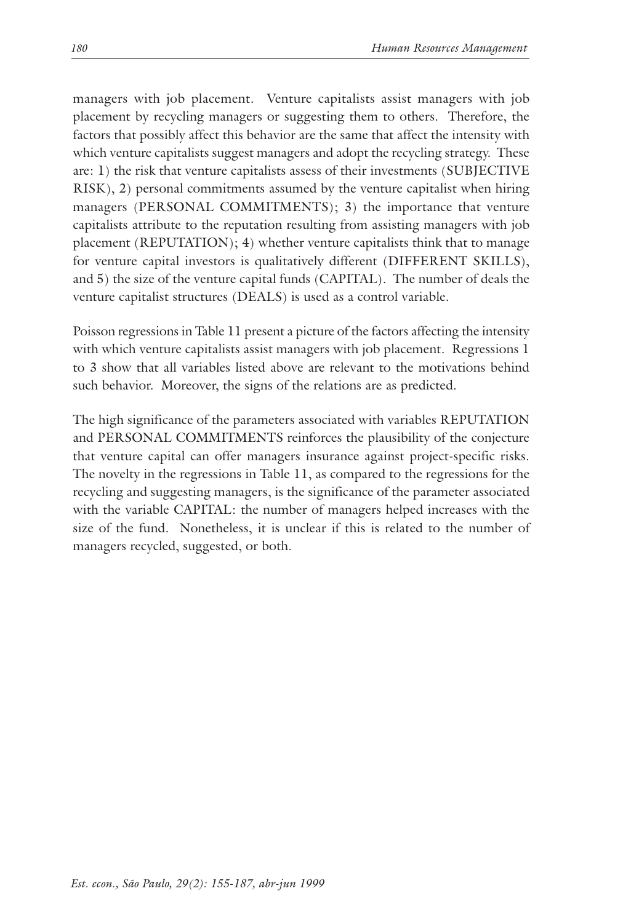managers with job placement. Venture capitalists assist managers with job placement by recycling managers or suggesting them to others. Therefore, the factors that possibly affect this behavior are the same that affect the intensity with which venture capitalists suggest managers and adopt the recycling strategy. These are: 1) the risk that venture capitalists assess of their investments (SUBJECTIVE RISK), 2) personal commitments assumed by the venture capitalist when hiring managers (PERSONAL COMMITMENTS); 3) the importance that venture capitalists attribute to the reputation resulting from assisting managers with job placement (REPUTATION); 4) whether venture capitalists think that to manage for venture capital investors is qualitatively different (DIFFERENT SKILLS), and 5) the size of the venture capital funds (CAPITAL). The number of deals the venture capitalist structures (DEALS) is used as a control variable.

Poisson regressions in Table 11 present a picture of the factors affecting the intensity with which venture capitalists assist managers with job placement. Regressions 1 to 3 show that all variables listed above are relevant to the motivations behind such behavior. Moreover, the signs of the relations are as predicted.

The high significance of the parameters associated with variables REPUTATION and PERSONAL COMMITMENTS reinforces the plausibility of the conjecture that venture capital can offer managers insurance against project-specific risks. The novelty in the regressions in Table 11, as compared to the regressions for the recycling and suggesting managers, is the significance of the parameter associated with the variable CAPITAL: the number of managers helped increases with the size of the fund. Nonetheless, it is unclear if this is related to the number of managers recycled, suggested, or both.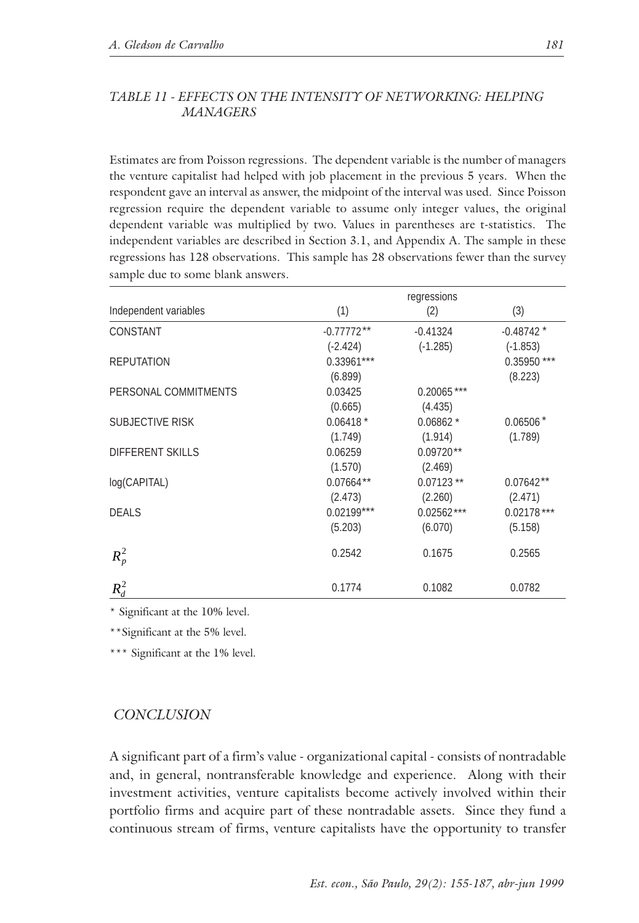## TABLE 11 - EFFECTS ON THE INTENSITY OF NETWORKING: HELPING **MANAGERS**

Estimates are from Poisson regressions. The dependent variable is the number of managers the venture capitalist had helped with job placement in the previous 5 years. When the respondent gave an interval as answer, the midpoint of the interval was used. Since Poisson regression require the dependent variable to assume only integer values, the original dependent variable was multiplied by two. Values in parentheses are t-statistics. The independent variables are described in Section 3.1, and Appendix A. The sample in these regressions has 128 observations. This sample has 28 observations fewer than the survey sample due to some blank answers.

|                         | regressions  |               |               |  |
|-------------------------|--------------|---------------|---------------|--|
| Independent variables   | (1)          | (2)           | (3)           |  |
| CONSTANT                | $-0.77772**$ | $-0.41324$    | $-0.48742*$   |  |
|                         | $(-2.424)$   | $(-1.285)$    | $(-1.853)$    |  |
| <b>REPUTATION</b>       | $0.33961***$ |               | $0.35950$ *** |  |
|                         | (6.899)      |               | (8.223)       |  |
| PERSONAL COMMITMENTS    | 0.03425      | $0.20065$ *** |               |  |
|                         | (0.665)      | (4.435)       |               |  |
| <b>SUBJECTIVE RISK</b>  | $0.06418*$   | $0.06862*$    | $0.06506*$    |  |
|                         | (1.749)      | (1.914)       | (1.789)       |  |
| <b>DIFFERENT SKILLS</b> | 0.06259      | $0.09720**$   |               |  |
|                         | (1.570)      | (2.469)       |               |  |
| log(CAPITAL)            | $0.07664**$  | $0.07123**$   | $0.07642**$   |  |
|                         | (2.473)      | (2.260)       | (2.471)       |  |
| <b>DEALS</b>            | $0.02199***$ | $0.02562***$  | $0.02178***$  |  |
|                         | (5.203)      | (6.070)       | (5.158)       |  |
| $R_p^2$                 | 0.2542       | 0.1675        | 0.2565        |  |
| $R_d^2$                 | 0.1774       | 0.1082        | 0.0782        |  |

\* Significant at the 10% level.

\*\* Significant at the 5% level.

\*\*\* Significant at the 1% level.

## **CONCLUSION**

A significant part of a firm's value - organizational capital - consists of nontradable and, in general, nontransferable knowledge and experience. Along with their investment activities, venture capitalists become actively involved within their portfolio firms and acquire part of these nontradable assets. Since they fund a continuous stream of firms, venture capitalists have the opportunity to transfer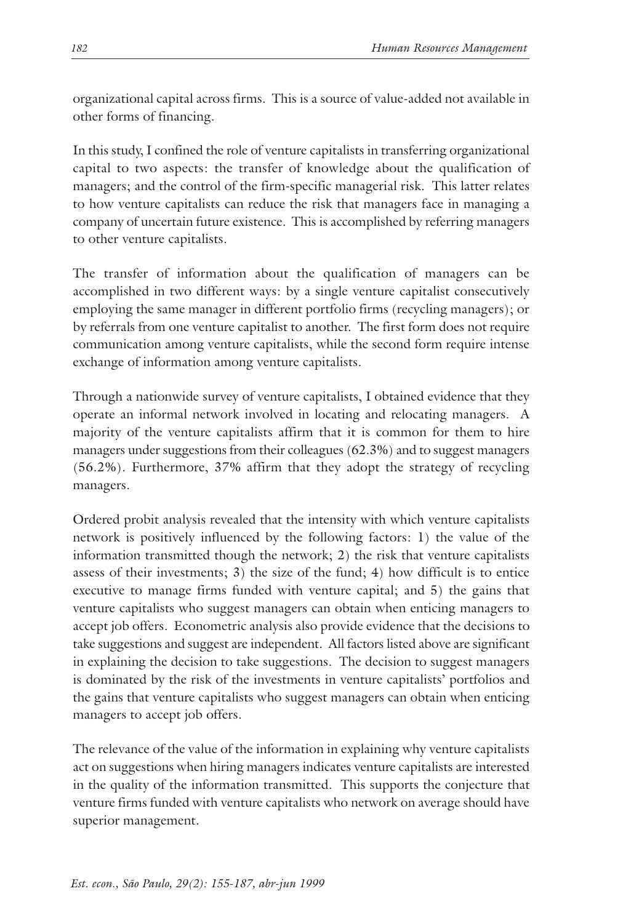organizational capital across firms. This is a source of value-added not available in other forms of financing.

In this study, I confined the role of venture capitalists in transferring organizational capital to two aspects: the transfer of knowledge about the qualification of managers; and the control of the firm-specific managerial risk. This latter relates to how venture capitalists can reduce the risk that managers face in managing a company of uncertain future existence. This is accomplished by referring managers to other venture capitalists.

The transfer of information about the qualification of managers can be accomplished in two different ways: by a single venture capitalist consecutively employing the same manager in different portfolio firms (recycling managers); or by referrals from one venture capitalist to another. The first form does not require communication among venture capitalists, while the second form require intense exchange of information among venture capitalists.

Through a nationwide survey of venture capitalists, I obtained evidence that they operate an informal network involved in locating and relocating managers. A majority of the venture capitalists affirm that it is common for them to hire managers under suggestions from their colleagues (62.3%) and to suggest managers (56.2%). Furthermore, 37% affirm that they adopt the strategy of recycling managers.

Ordered probit analysis revealed that the intensity with which venture capitalists network is positively influenced by the following factors: 1) the value of the information transmitted though the network; 2) the risk that venture capitalists assess of their investments; 3) the size of the fund; 4) how difficult is to entice executive to manage firms funded with venture capital; and 5) the gains that venture capitalists who suggest managers can obtain when enticing managers to accept job offers. Econometric analysis also provide evidence that the decisions to take suggestions and suggest are independent. All factors listed above are significant in explaining the decision to take suggestions. The decision to suggest managers is dominated by the risk of the investments in venture capitalists' portfolios and the gains that venture capitalists who suggest managers can obtain when enticing managers to accept job offers.

The relevance of the value of the information in explaining why venture capitalists act on suggestions when hiring managers indicates venture capitalists are interested in the quality of the information transmitted. This supports the conjecture that venture firms funded with venture capitalists who network on average should have superior management.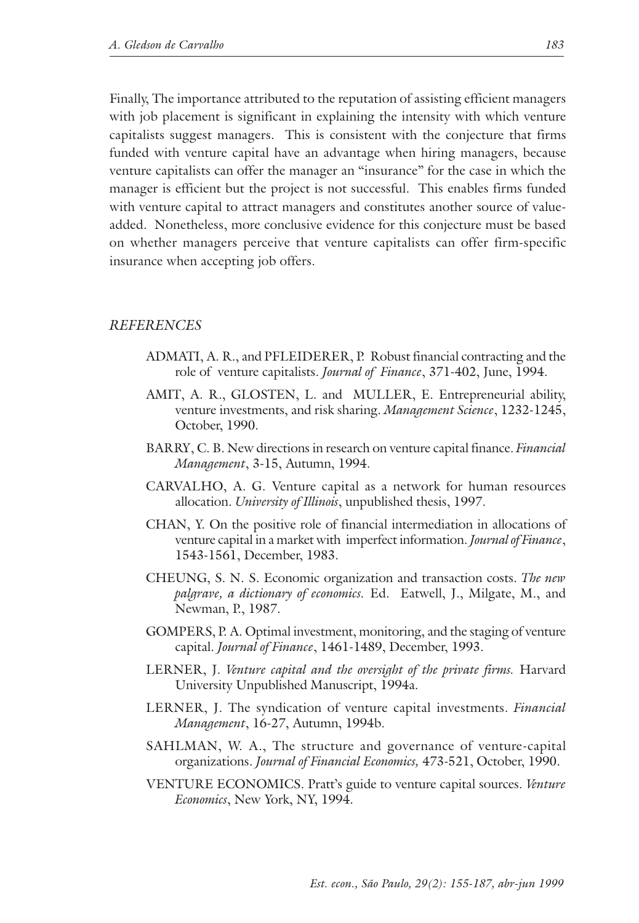Finally, The importance attributed to the reputation of assisting efficient managers with job placement is significant in explaining the intensity with which venture capitalists suggest managers. This is consistent with the conjecture that firms funded with venture capital have an advantage when hiring managers, because venture capitalists can offer the manager an "insurance" for the case in which the manager is efficient but the project is not successful. This enables firms funded with venture capital to attract managers and constitutes another source of valueadded. Nonetheless, more conclusive evidence for this conjecture must be based on whether managers perceive that venture capitalists can offer firm-specific insurance when accepting job offers.

#### **REFERENCES**

- ADMATI, A. R., and PFLEIDERER, P. Robust financial contracting and the role of venture capitalists. *Journal of Finance*, 371-402, June, 1994.
- AMIT, A. R., GLOSTEN, L. and MULLER, E. Entrepreneurial ability, venture investments, and risk sharing. Management Science, 1232-1245, October, 1990.
- BARRY, C. B. New directions in research on venture capital finance. *Financial Management*, 3-15, Autumn, 1994.
- CARVALHO, A. G. Venture capital as a network for human resources allocation. University of Illinois, unpublished thesis, 1997.
- CHAN, Y. On the positive role of financial intermediation in allocations of venture capital in a market with imperfect information. Journal of Finance, 1543-1561, December, 1983.
- CHEUNG, S. N. S. Economic organization and transaction costs. The new *palgrave, a dictionary of economics.* Ed. Eatwell, J., Milgate, M., and Newman, P., 1987.
- GOMPERS, P. A. Optimal investment, monitoring, and the staging of venture capital. *Journal of Finance*, 1461-1489, December, 1993.
- LERNER, J. Venture capital and the oversight of the private firms. Harvard University Unpublished Manuscript, 1994a.
- LERNER, J. The syndication of venture capital investments. *Financial Management*, 16-27, Autumn, 1994b.
- SAHLMAN, W. A., The structure and governance of venture-capital organizations. Journal of Financial Economics, 473-521, October, 1990.
- VENTURE ECONOMICS. Pratt's guide to venture capital sources. Venture *Economics*, New York, NY, 1994.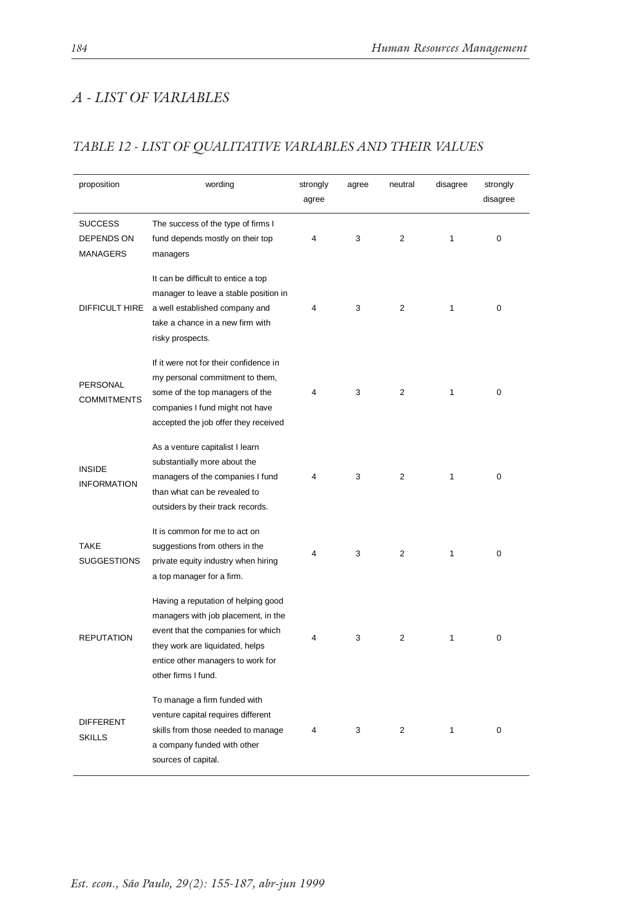# A - LIST OF VARIABLES

## TABLE 12 - LIST OF QUALITATIVE VARIABLES AND THEIR VALUES

| proposition                                     | wording                                                                                                                                                                                                         | strongly<br>agree | agree | neutral        | disagree     | strongly<br>disagree |
|-------------------------------------------------|-----------------------------------------------------------------------------------------------------------------------------------------------------------------------------------------------------------------|-------------------|-------|----------------|--------------|----------------------|
| <b>SUCCESS</b><br>DEPENDS ON<br><b>MANAGERS</b> | The success of the type of firms I<br>fund depends mostly on their top<br>managers                                                                                                                              | 4                 | 3     | $\overline{2}$ | $\mathbf{1}$ | $\Omega$             |
| <b>DIFFICULT HIRE</b>                           | It can be difficult to entice a top<br>manager to leave a stable position in<br>a well established company and<br>take a chance in a new firm with<br>risky prospects.                                          | 4                 | 3     | 2              | $\mathbf{1}$ | $\mathbf 0$          |
| PERSONAL<br><b>COMMITMENTS</b>                  | If it were not for their confidence in<br>my personal commitment to them,<br>some of the top managers of the<br>companies I fund might not have<br>accepted the job offer they received                         | 4                 | 3     | $\overline{2}$ | 1            | $\mathbf 0$          |
| <b>INSIDE</b><br><b>INFORMATION</b>             | As a venture capitalist I learn<br>substantially more about the<br>managers of the companies I fund<br>than what can be revealed to<br>outsiders by their track records.                                        | 4                 | 3     | $\overline{2}$ | 1            | 0                    |
| <b>TAKE</b><br><b>SUGGESTIONS</b>               | It is common for me to act on<br>suggestions from others in the<br>private equity industry when hiring<br>a top manager for a firm.                                                                             | 4                 | 3     | $\overline{2}$ | 1            | $\mathbf 0$          |
| <b>REPUTATION</b>                               | Having a reputation of helping good<br>managers with job placement, in the<br>event that the companies for which<br>they work are liquidated, helps<br>entice other managers to work for<br>other firms I fund. | 4                 | 3     | 2              | 1            | $\mathbf 0$          |
| <b>DIFFERENT</b><br><b>SKILLS</b>               | To manage a firm funded with<br>venture capital requires different<br>skills from those needed to manage<br>a company funded with other<br>sources of capital.                                                  | 4                 | 3     | $\overline{2}$ | $\mathbf{1}$ | $\mathbf 0$          |

i,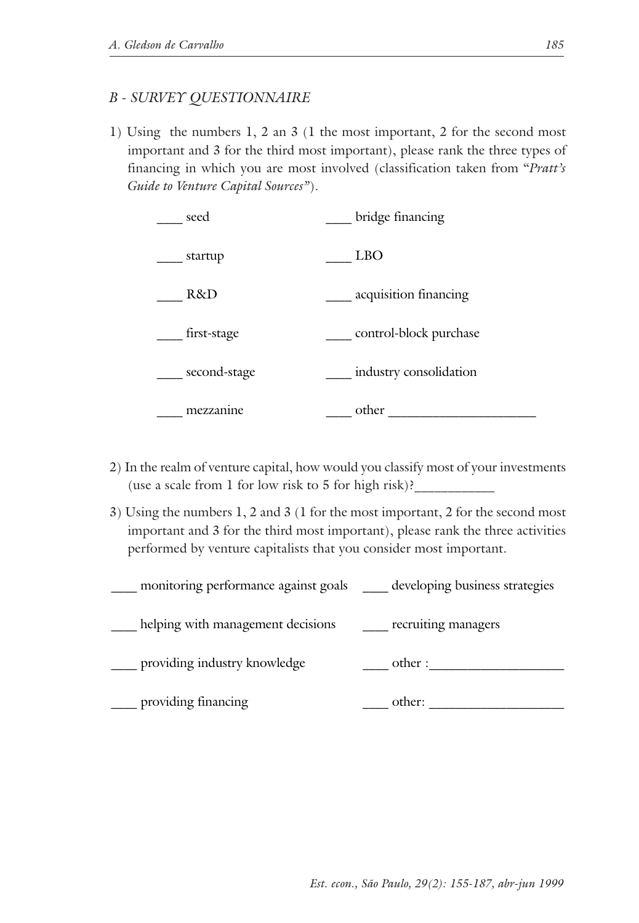## **B** - SURVEY QUESTIONNAIRE

1) Using the numbers 1, 2 an 3 (1 the most important, 2 for the second most important and 3 for the third most important), please rank the three types of financing in which you are most involved (classification taken from "Pratt's Guide to Venture Capital Sources").

| seed         | bridge financing       |
|--------------|------------------------|
| startup      | <b>LBO</b>             |
| R&D          | acquisition financing  |
| first-stage  | control-block purchase |
| second-stage | industry consolidation |
| mezzanine    | other                  |

- 2) In the realm of venture capital, how would you classify most of your investments (use a scale from 1 for low risk to 5 for high risk)?
- 3) Using the numbers 1, 2 and 3 (1 for the most important, 2 for the second most important and 3 for the third most important), please rank the three activities performed by venture capitalists that you consider most important.
- \_ monitoring performance against goals \_\_\_\_ developing business strategies helping with management decisions \_\_\_\_ recruiting managers \_ providing industry knowledge other: \_\_\_ providing financing  $\frac{1}{\sqrt{1-\frac{1}{2}}\cdot\frac{1}{2}}$  other: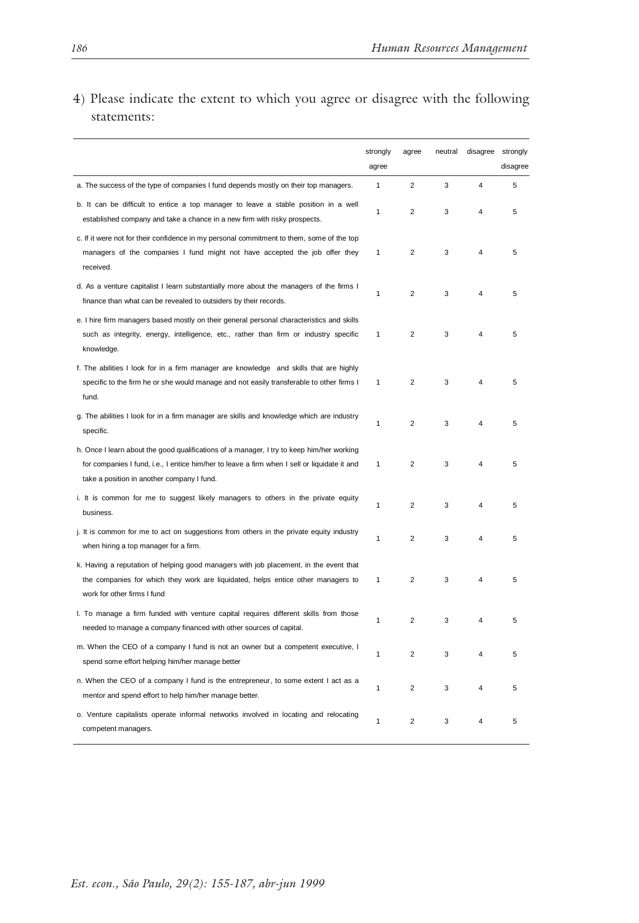4) Please indicate the extent to which you agree or disagree with the following statements:

|                                                                                                                                                                                                                                         | strongly<br>agree | agree          | neutral | disagree                | strongly<br>disagree |
|-----------------------------------------------------------------------------------------------------------------------------------------------------------------------------------------------------------------------------------------|-------------------|----------------|---------|-------------------------|----------------------|
| a. The success of the type of companies I fund depends mostly on their top managers.                                                                                                                                                    | $\mathbf{1}$      | $\overline{2}$ | 3       | 4                       | 5                    |
| b. It can be difficult to entice a top manager to leave a stable position in a well<br>established company and take a chance in a new firm with risky prospects.                                                                        | 1                 | $\overline{2}$ | 3       | 4                       | 5                    |
| c. If it were not for their confidence in my personal commitment to them, some of the top<br>managers of the companies I fund might not have accepted the job offer they<br>received.                                                   | $\mathbf{1}$      | $\overline{2}$ | 3       | 4                       | 5                    |
| d. As a venture capitalist I learn substantially more about the managers of the firms I<br>finance than what can be revealed to outsiders by their records.                                                                             | 1                 | $\overline{2}$ | 3       | 4                       | 5                    |
| e. I hire firm managers based mostly on their general personal characteristics and skills<br>such as integrity, energy, intelligence, etc., rather than firm or industry specific<br>knowledge.                                         | $\mathbf{1}$      | 2              | 3       | 4                       | 5                    |
| f. The abilities I look for in a firm manager are knowledge and skills that are highly<br>specific to the firm he or she would manage and not easily transferable to other firms I<br>fund.                                             | $\mathbf{1}$      | $\overline{2}$ | 3       | 4                       | 5                    |
| g. The abilities I look for in a firm manager are skills and knowledge which are industry<br>specific.                                                                                                                                  | 1                 | $\overline{2}$ | 3       | $\overline{\mathbf{4}}$ | 5                    |
| h. Once I learn about the good qualifications of a manager, I try to keep him/her working<br>for companies I fund, i.e., I entice him/her to leave a firm when I sell or liquidate it and<br>take a position in another company I fund. | $\mathbf{1}$      | $\overline{2}$ | 3       | $\overline{\mathbf{4}}$ | 5                    |
| i. It is common for me to suggest likely managers to others in the private equity<br>business.                                                                                                                                          | 1                 | $\overline{c}$ | 3       | 4                       | 5                    |
| j. It is common for me to act on suggestions from others in the private equity industry<br>when hiring a top manager for a firm.                                                                                                        | 1                 | 2              | 3       | 4                       | 5                    |
| k. Having a reputation of helping good managers with job placement, in the event that<br>the companies for which they work are liquidated, helps entice other managers to<br>work for other firms I fund                                | 1                 | $\overline{2}$ | 3       | 4                       | 5                    |
| I. To manage a firm funded with venture capital requires different skills from those<br>needed to manage a company financed with other sources of capital.                                                                              | $\mathbf{1}$      | 2              | 3       | 4                       | 5                    |
| m. When the CEO of a company I fund is not an owner but a competent executive, I<br>spend some effort helping him/her manage better                                                                                                     | 1                 | $\overline{a}$ | 3       | 4                       | 5                    |
| n. When the CEO of a company I fund is the entrepreneur, to some extent I act as a<br>mentor and spend effort to help him/her manage better.                                                                                            | 1                 | $\overline{2}$ | 3       | 4                       | 5                    |
| o. Venture capitalists operate informal networks involved in locating and relocating<br>competent managers.                                                                                                                             | 1                 | $\overline{2}$ | 3       | 4                       | 5                    |